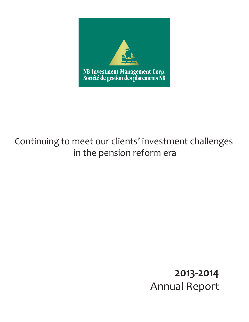

# Continuing to meet our clients' investment challenges in the pension reform era

# **2013-2014** Annual Report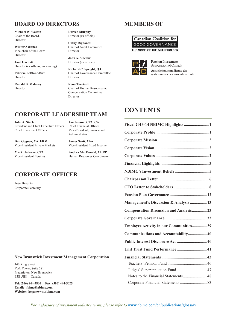# **BOARD OF DIRECTORS**

**Michael W. Walton** Chair of the Board, Director

**Wiktor Askanas** Vice-chair of the Board Director

**Jane Garbutt** Director (ex officio, non-voting)

**Patricia LeBlanc-Bird** Director

**Ronald B. Maloney** Director

**Darren Murphy** Director (ex officio)

**Cathy Rignanesi** Chair of Audit Committee Director

**John A. Sinclair** Director (ex officio)

**Richard C. Speight, Q.C.** Chair of Governance Committee Director

**Reno Thériault** Chair of Human Resources & Compensation Committee Director

## **CORPORATE LEADERSHIP TEAM**

**John A. Sinclair Jan Imeson, CPA, CA**

President and Chief Executive Officer Chief Financial Officer Chief Investment Officer Vice-President, Finance and

Administration

**Dan Goguen, CA, FRM James Scott, CFA** Vice-President Private Markets

Vice-President Equities Human Resources Coordinator

**Mark Holleran, CFA Andrea MacDonald, CHRP**

# **CORPORATE OFFICER**

**Inge Després** Corporate Secretary

#### **New Brunswick Investment Management Corporation**

440 King Street York Tower, Suite 581 Fredericton, New Brunswick E3B 5H8 Canada

**Tel: (506) 444-5800 Fax: (506) 444-5025 Email: nbimc@nbimc.com Website: http://www.nbimc.com**

# **MEMBERS OF**





Pension Investment Association of Canada Association canadienne des gestionnaires de caisses de retraite

# **CONTENTS**

| Fiscal 2013-14 NBIMC Highlights 1             |  |
|-----------------------------------------------|--|
|                                               |  |
|                                               |  |
|                                               |  |
|                                               |  |
|                                               |  |
|                                               |  |
|                                               |  |
|                                               |  |
|                                               |  |
| Management's Discussion & Analysis 13         |  |
| <b>Compensation Discussion and Analysis23</b> |  |
|                                               |  |
| Employee Activity in our Communities39        |  |
| Communications and Accountability40           |  |
| Public Interest Disclosure Act 40             |  |
| Unit Trust Fund Performance41                 |  |
|                                               |  |
|                                               |  |
| Judges' Superannuation Fund 47                |  |
| Notes to the Financial Statements48           |  |
|                                               |  |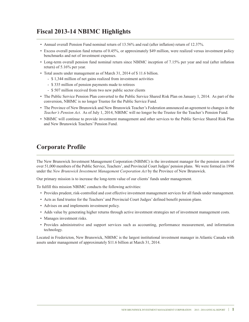# **Fiscal 2013-14 NBIMC Highlights**

- Annual overall Pension Fund nominal return of 13.56% and real (after inflation) return of 12.37%.
- Excess overall pension fund returns of 0.45%, or approximately \$49 million, were realized versus investment policy benchmarks and net of investment expenses.
- Long-term overall pension fund nominal return since NBIMC inception of 7.15% per year and real (after inflation return) of 5.16% per year.
- Total assets under management as of March 31, 2014 of \$ 11.6 billion.
	- \$ 1,344 million of net gains realized from investment activities
	- \$ 335 million of pension payments made to retirees
	- \$ 507 million received from two new public sector clients
- The Public Service Pension Plan converted to the Public Service Shared Risk Plan on January 1, 2014. As part of the conversion, NBIMC is no longer Trustee for the Public Service Fund.
- The Province of New Brunswick and New Brunswick Teacher's Federation announced an agreement to changes in the *Teacher's Pension Act*. As of July 1, 2014, NBIMC will no longer be the Trustee for the Teacher's Pension Fund.
- NBIMC will continue to provide investment management and other services to the Public Service Shared Risk Plan and New Brunswick Teachers' Pension Fund.

# **Corporate Profile**

The New Brunswick Investment Management Corporation (NBIMC) is the investment manager for the pension assets of over 51,000 members of the Public Service, Teachers', and Provincial Court Judges' pension plans. We were formed in 1996 under the *New Brunswick Investment Management Corporation Act* by the Province of New Brunswick.

Our primary mission is to increase the long-term value of our clients' funds under management.

To fulfill this mission NBIMC conducts the following activities:

- Provides prudent, risk-controlled and cost effective investment management services for all funds under management.
- Acts as fund trustee for the Teachers' and Provincial Court Judges' defined benefit pension plans.
- Advises on and implements investment policy.
- Adds value by generating higher returns through active investment strategies net of investment management costs.
- Manages investment risks.
- Provides administrative and support services such as accounting, performance measurement, and information technology.

Located in Fredericton, New Brunswick, NBIMC is the largest institutional investment manager in Atlantic Canada with assets under management of approximately \$11.6 billion at March 31, 2014.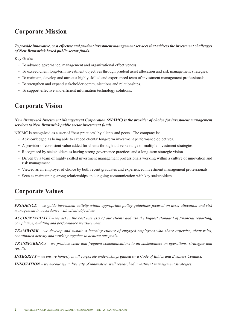# **Corporate Mission**

*To provide innovative, cost effective and prudent investment management services that address the investment challenges of New Brunswick based public sector funds.*

Key Goals:

- To advance governance, management and organizational effectiveness.
- To exceed client long-term investment objectives through prudent asset allocation and risk management strategies.
- To maintain, develop and attract a highly skilled and experienced team of investment management professionals.
- To strengthen and expand stakeholder communications and relationships.
- To support effective and efficient information technology solutions.

# **Corporate Vision**

*New Brunswick Investment Management Corporation (NBIMC) is the provider of choice for investment management services to New Brunswick public sector investment funds.*

NBIMC is recognized as a user of "best practices" by clients and peers. The company is:

- Acknowledged as being able to exceed clients' long-term investment performance objectives.
- A provider of consistent value added for clients through a diverse range of multiple investment strategies.
- Recognized by stakeholders as having strong governance practices and a long-term strategic vision.
- Driven by a team of highly skilled investment management professionals working within a culture of innovation and risk management.
- Viewed as an employer of choice by both recent graduates and experienced investment management professionals.
- Seen as maintaining strong relationships and ongoing communication with key stakeholders.

# **Corporate Values**

 $PRUDENCE$  – we guide investment activity within appropriate policy guidelines focused on asset allocation and risk *management in accordance with client objectives.*

 $ACCOUNTABILITY - we act in the best interests of our clients and use the highest standard of financial reporting,$ *compliance, auditing and performance measurement.*

**TEAMWORK** – we develop and sustain a learning culture of engaged employees who share expertise, clear roles, *coordinated activity and working together to achieve our goals.*

*TRANSPARENCY – we produce clear and frequent communications to all stakeholders on operations, strategies and results.*

**INTEGRITY** – we ensure honesty in all corporate undertakings guided by a Code of Ethics and Business Conduct.

*INNOVATION – we encourage a diversity of innovative, well researched investment management strategies.*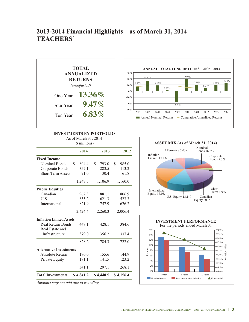# **2013-2014 Financial Highlights – as of March 31, 2014 TEACHERS'**



### **INVESTMENTS BY PORTFOLIO**

As of March 31, 2014  $\sim$  millions)

| $(S$ millions)                 |    |           |    |           |    |           |
|--------------------------------|----|-----------|----|-----------|----|-----------|
|                                |    | 2014      |    | 2013      |    | 2012      |
| <b>Fixed Income</b>            |    |           |    |           |    |           |
| Nominal Bonds                  | S. | 804.4     | \$ | 793.0     | S. | 985.0     |
| Corporate Bonds                |    | 352.1     |    | 283.5     |    | 113.2     |
| <b>Short Term Assets</b>       |    | 91.0      |    | 30.4      |    | 61.8      |
|                                |    | 1,247.5   |    | 1,106.9   |    | 1,160.0   |
| <b>Public Equities</b>         |    |           |    |           |    |           |
| Canadian                       |    | 967.3     |    | 881.1     |    | 806.9     |
| U.S.                           |    | 635.2     |    | 621.3     |    | 523.3     |
| International                  |    | 821.9     |    | 757.9     |    | 676.2     |
|                                |    | 2,424.4   |    | 2,260.3   |    | 2,006.4   |
| <b>Inflation Linked Assets</b> |    |           |    |           |    |           |
| Real Return Bonds              |    | 449.1     |    | 428.1     |    | 384.6     |
| Real Estate and                |    |           |    |           |    |           |
| Infrastructure                 |    | 379.0     |    | 356.2     |    | 337.4     |
|                                |    | 828.2     |    | 784.3     |    | 722.0     |
| <b>Alternative Investments</b> |    |           |    |           |    |           |
| Absolute Return                |    | 170.0     |    | 155.6     |    | 144.9     |
| Private Equity                 |    | 171.1     |    | 141.5     |    | 123.2     |
|                                |    | 341.1     |    | 297.1     |    | 268.1     |
| <b>Total Investments</b>       |    | \$4,841.2 |    | \$4,448.5 |    | \$4,156.4 |
|                                |    |           |    |           |    |           |

*Amounts may not add due to rounding*





NEW BRUNSWICK INVESTMENT MANAGEMENT CORPORATION 2013 - 2014 ANNUAL REPORT **3**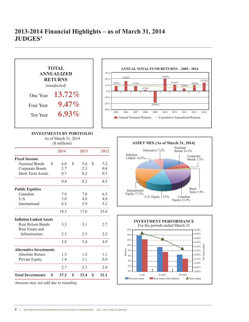

**4** | NEW BRUNSWICK INVESTMENT MANAGEMENT CORPORATION 2013 - 2014 ANNUAL REPORT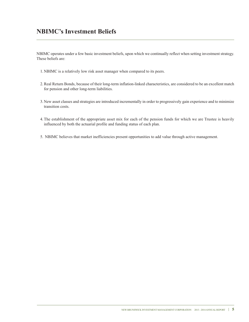# **NBIMC's Investment Beliefs**

NBIMC operates under a few basic investment beliefs, upon which we continually reflect when setting investment strategy. These beliefs are:

- 1. NBIMC is a relatively low risk asset manager when compared to its peers.
- 2.Real Return Bonds, because of their long-term inflation-linked characteristics, are considered to be an excellent match for pension and other long-term liabilities.
- 3. New asset classes and strategies are introduced incrementally in order to progressively gain experience and to minimize transition costs.
- 4.The establishment of the appropriate asset mix for each of the pension funds for which we are Trustee is heavily influenced by both the actuarial profile and funding status of each plan.
- 5. NBIMC believes that market inefficiencies present opportunities to add value through active management.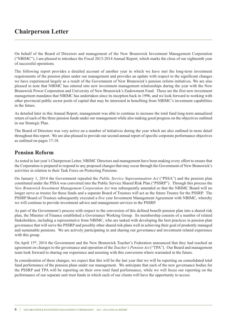# **Chairperson Letter**

On behalf of the Board of Directors and management of the New Brunswick Investment Management Corporation ("NBIMC"), I am pleased to introduce the Fiscal 2013-2014 Annual Report, which marks the close of our eighteenth year of successful operations.

The following report provides a detailed account of another year in which we have met the long-term investment requirements of the pension plans under our management and provides an update with respect to the significant changes we have experienced largely as a result of the Government of New Brunswick's pension reform initiatives. We are also pleased to note that NBIMC has entered into new investment management relationships during the year with the New Brunswick Power Corporation and University of New Brunswick's Endowment Fund. These are the first new investment management mandates that NBIMC has undertaken since its inception back in 1996, and we look forward to working with other provincial public sector pools of capital that may be interested in benefiting from NBIMC's investment capabilities in the future.

As detailed later in this Annual Report, management was able to continue to increase the total fund long-term annualized return of each of the three pension funds under our management while also making good progress on the objectives outlined in our Strategic Plan.

The Board of Directors was very active on a number of initiatives during the year which are also outlined in more detail throughout this report. We are also pleased to provide our second annual report of specific corporate performance objectives as outlined on pages 17-18.

### **Pension Reform**

As noted in last year's Chairperson Letter, NBIMC Directors and management have been making every effort to ensure that the Corporation is prepared to respond to any proposed changes that may occur through the Government of New Brunswick's activities in relation to their Task Force on Protecting Pensions.

On January 1, 2014 the Government repealed the *Public Service Superannuation Act* ("PSSA") and the pension plan constituted under the PSSA was converted into the Public Service Shared Risk Plan ("PSSRP"). Through this process the *New Brunswick Investment Management Corporation Act* was subsequently amended so that the NBIMC Board will no longer serve as trustee for those funds and a separate Board of Trustees will act as the future Trustee for the PSSRP. The PSSRP Board of Trustees subsequently executed a five year Investment Management Agreement with NBIMC, whereby we will continue to provide investment advice and management services to the PSSRP.

As part of the Government's process with respect to the conversion of this defined benefit pension plan into a shared risk plan, the Minister of Finance established a Governance Working Group. Its membership consists of a number of related Stakeholders, including a representative from NBIMC, who are tasked with developing the best practices in pension plan governance that will serve the PSSRP and possibly other shared risk plans well in achieving their goal of prudently managed and sustainable pensions. We are actively participating in and sharing our governance and investment related experience with this group.

On April 15th, 2014 the Government and the New Brunswick Teacher's Federation announced that they had reached an agreement on changes to the governance and operation of the *Teacher's Pension Act* ("TPA"). Our Board and management team look forward to sharing our experience and assisting with this conversion where warranted in the future.

In consideration of these changes, we expect that this will be the last year that we will be reporting on consolidated total fund performance of the pension plans under our management. We anticipate that each of the new governance bodies for the PSSRP and TPA will be reporting on their own total fund performance, while we will focus our reporting on the performance of our separate unit trust funds in which each of our clients will have the opportunity to access.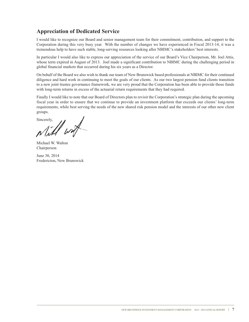# **Appreciation of Dedicated Service**

I would like to recognize our Board and senior management team for their commitment, contribution, and support to the Corporation during this very busy year. With the number of changes we have experienced in Fiscal 2013-14, it was a tremendous help to have such stable, long-serving resources looking after NBIMC's stakeholders' best interests.

In particular I would also like to express our appreciation of the service of our Board's Vice Chairperson, Mr. Joel Attis, whose term expired in August of 2013. Joel made a significant contribution to NBIMC during the challenging period in global financial markets that occurred during his six years as a Director.

On behalf of the Board we also wish to thank our team of New Brunswick based professionals at NBIMC for their continued diligence and hard work in continuing to meet the goals of our clients. As our two largest pension fund clients transition to a new joint trustee governance framework, we are very proud that the Corporation has been able to provide those funds with long-term returns in excess of the actuarial return requirements that they had required.

Finally I would like to note that our Board of Directors plan to revisit the Corporation's strategic plan during the upcoming fiscal year in order to ensure that we continue to provide an investment platform that exceeds our clients' long-term requirements, while best serving the needs of the new shared risk pension model and the interests of our other new client groups.

Sincerely, wort

Michael W. Walton Chairperson

June 30, 2014 Fredericton, New Brunswick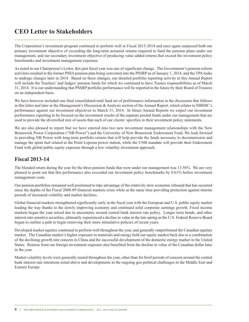# **CEO Letter to Stakeholders**

The Corporation's investment program continued to perform well in Fiscal 2013-2014 and once again surpassed both our primary investment objective of exceeding the long-term actuarial returns required to fund the pension plans under our management, and our secondary investment objective of producing value added returns that exceed the investment policy benchmarks and investment management expenses.

As noted in our Chairperson's Letter, this past fiscal year was one of significant change. The Government's pension reform activities resulted in the former PSSA pension plan being converted into the PSSRP as of January 1, 2014, and the TPA looks to undergo changes later in 2014. Based on these changes, our detailed portfolio reporting activity in this Annual Report will include the Teachers' and Judges' pension funds for which we continued to have Trustee responsibilities as of March 31, 2014. It is our understanding that PSSRP portfolio performance will be reported in the future by their Board of Trustees on an independent basis.

We have however included one final consolidated total fund set of performance information in the discussion that follows in this letter and later in the Management's Discussion & Analysis section of the Annual Report, which relates to NBIMC's performance against our investment objectives to March 31, 2014. In future Annual Reports we expect our investment performance reporting to be focused on the investment results of the separate pooled funds under our management that are used to provide the diversified mix of assets that each of our clients'specifies in their investment policy statements.

We are also pleased to report that we have entered into two new investment management relationships with the New Brunswick Power Corporation ("NB Power") and the University of New Brunswick Endowment Fund. We look forward to providing NB Power with long-term portfolio returns that will help provide the funds necessary to decommission and manage the spent fuel related to the Point Lepreau power station, while the UNB mandate will provide their Endowment Fund with global public equity exposure through a low volatility investment approach.

## **Fiscal 2013-14**

The blended return during the year for the three pension funds that were under our management was 13.56%. We are very pleased to point out that this performance also exceeded our investment policy benchmarks by 0.61% before investment management costs.

Our pension portfolios remained well positioned to take advantage of the relatively slow economic rebound that has occurred since the depths of the Fiscal 2008-09 financial markets crisis while at the same time providing protection against interim periods of increased volatility and market declines.

Global financial markets strengthened significantly early in the fiscal year with the European and U.S. public equity market leading the way thanks to the slowly improving economy and continued solid corporate earnings growth. Fixed income markets began the year mixed due to uncertainty around central bank interest rate policy. Longer term bonds, and other interest rate sensitive securities, ultimately experienced a decline in value in the late spring as the U.S. Federal Reserve Board begun to outline a path to begin removing their more stimulative policies of recent years.

Developed market equities continued to perform well throughout the year, and generally outperformed the Canadian equities market. The Canadian market's higher exposure to materials and energy held our equity market back due to a combination of the declining growth rate concern in China and the successful development of the domestic energy market in the United States. Returns from our foreign investment exposure also benefited from the decline in value of the Canadian dollar later in the year.

Market volatility levels were generally muted throughout the year, other than for brief periods of concern around the central bank interest rate intentions noted above and developments in the ongoing geo-political challenges in the Middle East and Eastern Europe.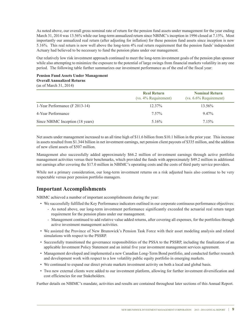As noted above, our overall gross nominal rate of return for the pension fund assets under management for the year ending March 31, 2014 was 13.56% while our long-term annualized return since NBIMC's inception in 1996 closed at 7.15%. Most importantly our annualized real return (after adjusting for inflation) for these pension fund assets since inception is now 5.16%. This real return is now well above the long-term 4% real return requirement that the pension funds' independent Actuary had believed to be necessary to fund the pension plans under our management.

Our relatively low risk investment approach continued to meet the long-term investment goals of the pension plan sponsor while also attempting to minimize the exposure to the potential of large swings from financial markets volatility in any one period. The following table further summarizes our investment performance as of the end of the fiscal year:

### **Pension Fund Assets Under Management Overall Annualized Returns**

(as of March 31, 2014)

|                                  | <b>Real Return</b><br>$(vs. 4\%$ Requirement) | <b>Nominal Return</b><br>$(vs. 6.6\%$ Requirement) |
|----------------------------------|-----------------------------------------------|----------------------------------------------------|
| 1-Year Performance (F 2013-14)   | $12.37\%$                                     | 13.56%                                             |
| 4-Year Performance               | 7.57%                                         | $9.47\%$                                           |
| Since NBIMC Inception (18 years) | $5.16\%$                                      | 7.15%                                              |

Net assets under management increased to an all time high of \$11.6 billion from \$10.1 billion in the prior year. This increase in assets resulted from \$1.344 billion in net investment earnings, net pension client payouts of \$335 million, and the addition of new client assets of \$507 million.

Management also successfully added approximately \$66.2 million of investment earnings through active portfolio management activities versus their benchmarks, which provided the funds with approximately \$49.2 million in additional net earnings after covering the \$17.0 million in NBIMC's operating costs and the costs of third party service providers.

While not a primary consideration, our long-term investment returns on a risk adjusted basis also continue to be very respectable versus peer pension portfolio managers.

### **Important Accomplishments**

NBIMC achieved a number of important accomplishments during the year:

- We successfully fulfilled the Key Performance indicators outlined in our corporate continuous performance objectives:
	- As noted above, our long-term investment performance significantly exceeded the actuarial real return target requirement for the pension plans under our management.
	- Management continued to add relative value added returns, after covering all expenses, for the portfolios through active investment management activities.
- We assisted the Province of New Brunswick's Pension Task Force with their asset modeling analysis and related simulations with respect to the PSSRP.
- Successfully transitioned the governance responsibilities of the PSSA to the PSSRP, including the finalization of an applicable Investment Policy Statement and an initial five year investment management services agreement.
- Management developed and implemented a new Canadian Long-Term Bond portfolio, and conducted further research and development work with respect to a low volatility public equity portfolio in emerging markets.
- We continued to expand our direct private markets investment activity on both a local and global basis.
- Two new external clients were added to our investment platform, allowing for further investment diversification and cost efficiencies for our Stakeholders.

Further details on NBIMC's mandate, activities and results are contained throughout later sections of this Annual Report.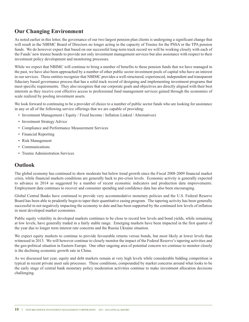## **Our Changing Environment**

As noted earlier in this letter, the governance of our two largest pension plan clients is undergoing a significant change that will result in the NBIMC Board of Directors no longer acting in the capacity of Trustee for the PSSA or the TPA pension funds. We do however expect that based on our successful long-term track record we will be working closely with each of the Funds' new trustee boards to provide not only investment management services but also assistance with respect to their investment policy development and monitoring processes.

While we expect that NBIMC will continue to bring a number of benefits to these pension funds that we have managed in the past, we have also been approached by a number of other public sector investment pools of capital who have an interest in our services. These entities recognize that NBIMC provides a well-structured, experienced, independent and transparent fiduciary based governance process that has a solid track record of designing and implementing investment programs that meet specific requirements. They also recognize that our corporate goals and objectives are directly aligned with their best interests as they receive cost effective access to professional fund management services gained through the economies of scale realized by pooling investment assets.

We look forward to continuing to be a provider of choice to a number of public sector funds who are looking for assistance in any or all of the following service offerings that we are capable of providing:

- Investment Management ( Equity / Fixed Income / Inflation Linked / Alternatives)
- Investment Strategy Advice
- Compliance and Performance Measurement Services
- Financial Reporting
- Risk Management
- Communications
- Trustee Administration Services

## **Outlook**

The global economy has continued to show moderate but below trend growth since the Fiscal 2008-2009 financial market crisis, while financial markets conditions are generally back to pre-crisis levels. Economic activity is generally expected to advance in 2014 as suggested by a number of recent economic indicators and production data improvements. Employment data continues to recover and consumer spending and confidence data has also been encouraging.

Global Central Banks have continued to provide very accommodative monetary policies and the U.S. Federal Reserve Board has been able to prudently begin to taper their quantitative easing program. The tapering activity has been generally successful in not negatively impacting the economy to date and has been supported by the continued low levels of inflation in most developed market economies.

Public equity volatility in developed markets continues to be close to record low levels and bond yields, while remaining at low levels, have generally traded in a fairly stable range. Emerging markets have been impacted in the first quarter of the year due to longer term interest rate concerns and the Russia Ukraine situation.

We expect equity markets to continue to provide favourable returns versus bonds, but most likely at lower levels than witnessed in 2013. We will however continue to closely monitor the impact of the Federal Reserve's tapering activities and the geo-political situation in Eastern Europe. One other ongoing area of potential concern we continue to monitor closely is the declining economic growth rate in China.

As we discussed last year, equity and debt markets remain at very high levels while considerable bidding competition is typical in recent private asset sale processes. These conditions, compounded by market concerns around what looks to be the early stage of central bank monetary policy moderation activities continue to make investment allocation decisions challenging.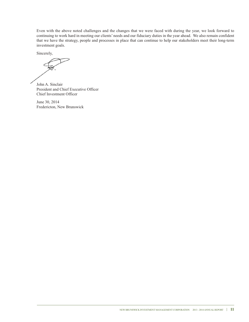Even with the above noted challenges and the changes that we were faced with during the year, we look forward to continuing to work hard in meeting our clients' needs and our fiduciary duties in the year ahead. We also remain confident that we have the strategy, people and processes in place that can continue to help our stakeholders meet their long-term investment goals.

Sincerely,

John A. Sinclair President and Chief Executive Officer Chief Investment Officer

June 30, 2014 Fredericton, New Brunswick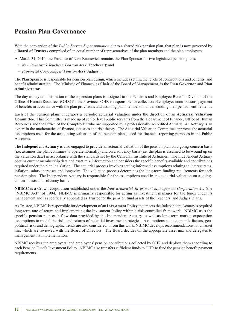# **Pension Plan Governance**

With the conversion of the *Public Service Superannuation Act* to a shared risk pension plan, that plan is now governed by a **Board of Trustees** comprised of an equal number of representatives of the plan members and the plan employers.

At March 31, 2014, the Province of New Brunswick remains the Plan Sponsor for two legislated pension plans:

- *New Brunswick Teachers'Pension Act* ("Teachers"); and
- *Provincial Court Judges'Pension Act* ("Judges").

The Plan Sponsor is responsible for pension plan design, which includes setting the levels of contributions and benefits, and benefit administration. The Minister of Finance, as Chair of the Board of Management, is the **Plan Governor** and **Plan Administrator**.

The day to day administration of these pension plans is assigned to the Pensions and Employee Benefits Division of the Office of Human Resources (OHR) for the Province. OHR is responsible for collection of employee contributions, payment of benefits in accordance with the plan provisions and assisting plan members in understanding their pension entitlements.

Each of the pension plans undergoes a periodic actuarial valuation under the direction of an **Actuarial Valuation Committee**. This Committee is made up of senior level public servants from the Department of Finance, Office of Human Resources and the Office of the Comptroller who are supported by a professionally accredited Actuary. An Actuary is an expert in the mathematics of finance, statistics and risk theory. The Actuarial Valuation Committee approves the actuarial assumptions used for the accounting valuation of the pension plans, used for financial reporting purposes in the Public Accounts.

The **Independent Actuary** is also engaged to provide an actuarial valuation of the pension plan on a going-concern basis (i.e. assumes the plan continues to operate normally) and on a solvency basis (i.e. the plan is assumed to be wound up on the valuation date) in accordance with the standards set by the Canadian Institute of Actuaries. The Independent Actuary obtains current membership data and asset mix information and considers the specific benefits available and contributions required under the plan legislation. The actuarial process involves setting informed assumptions relating to interest rates, inflation, salary increases and longevity. The valuation process determines the long-term funding requirements for each pension plan. The Independent Actuary is responsible for the assumptions used in the actuarial valuation on a goingconcern basis and solvency basis.

**NBIMC** is a Crown corporation established under the *New Brunswick Investment Management Corporation Act* (the "NBIMC Act") of 1994. NBIMC is primarily responsible for acting as investment manager for the funds under its management and is specifically appointed as Trustee for the pension fund assets of the Teachers' and Judges' plans.

As Trustee, NBIMC is responsible for development of an **Investment Policy** that meets the Independent Actuary's required long-term rate of return and implementing the Investment Policy within a risk-controlled framework. NBIMC uses the specific pension plan cash flow data provided by the Independent Actuary as well as long-term market expectation assumptions to model the risks and returns of potential investment strategies. Assumptions as to economic factors, geopolitical risks and demographic trends are also considered. From this work, NBIMC develops recommendations for an asset mix which are reviewed with the Board of Directors. The Board decides on the appropriate asset mix and delegates to management its implementation.

NBIMC receives the employers' and employees' pension contributions collected by OHR and deploys them according to each Pension Fund's Investment Policy. NBIMC also transfers sufficient funds to OHR to fund the pension benefit payment requirements.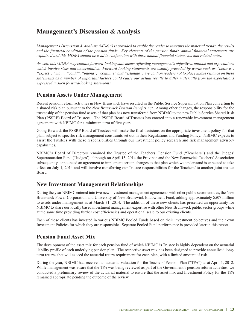# **Management's Discussion & Analysis**

Management's Discussion & Analysis (MD&A) is provided to enable the reader to interpret the material trends, the results and the financial condition of the pension funds. Key elements of the pension funds' annual financial statements are explained and this MD&A should be read in conjunction with these annual financial statements and related notes.

*As well, this MD&A may contain forward-looking statements reflecting management's objectives, outlook and expectations which involve risks and uncertainties. Forward-looking statements are usually preceded by words such as "believe",* "expect", "may", "could", "intend", "continue" and "estimate". We caution readers not to place undue reliance on these statements as a number of important factors could cause our actual results to differ materially from the expectations *expressed in such forward-looking statements.*

### **Pension Assets Under Management**

Recent pension reform activities in New Brunswick have resulted in the Public Service Superannuation Plan converting to a shared risk plan pursuant to the *New Brunswick Pension Benefits Act*. Among other changes, the responsibility for the trusteeship of the pension fund assets of that plan has now transferred from NBIMC to the new Public Service Shared Risk Plan (PSSRP) Board of Trustees. The PSSRP Board of Trustees has entered into a renewable investment management agreement with NBIMC for a minimum term of five years.

Going forward, the PSSRP Board of Trustees will make the final decisions on the appropriate investment policy for that plan, subject to specific risk management constraints set out in their Regulations and Funding Policy. NBIMC expects to assist the Trustees with these responsibilities through our investment policy research and risk management advisory capabilities.

NBIMC's Board of Directors remained the Trustee of the Teachers' Pension Fund ("Teachers") and the Judges' Superannuation Fund ("Judges'), although on April 15, 2014 the Province and the New Brunswick Teachers'Association subsequently announced an agreement to implement certain changes to that plan which we understand is expected to take effect on July 1, 2014 and will involve transferring our Trustee responsibilities for the Teachers' to another joint trustee Board.

### **New Investment Management Relationships**

During the year NBIMC entered into two new investment management agreements with other public sector entities, the New Brunswick Power Corporation and University of New Brunswick Endowment Fund, adding approximately \$507 million to assets under management as at March 31, 2014. The addition of these new clients has presented an opportunity for NBIMC to share our locally based investment management expertise with other New Brunswick public sector groups while at the same time providing further cost efficiencies and operational scale to our existing clients.

Each of these clients has invested in various NBIMC Pooled Funds based on their investment objectives and their own Investment Policies for which they are responsible. Separate Pooled Fund performance is provided later in this report.

## **Pension Fund Asset Mix**

The development of the asset mix for each pension fund of which NBIMC is Trustee is highly dependent on the actuarial liability profile of each underlying pension plan. The respective asset mix has been designed to provide annualized longterm returns that will exceed the actuarial return requirement for each plan, with a limited amount of risk.

During the year, NBIMC had received an actuarial valuation for the Teachers' Pension Plan ("TPA") as at April 1, 2012. While management was aware that the TPA was being reviewed as part of the Government's pension reform activities, we conducted a preliminary review of the actuarial material to ensure that the asset mix and Investment Policy for the TPA remained appropriate pending the outcome of the review.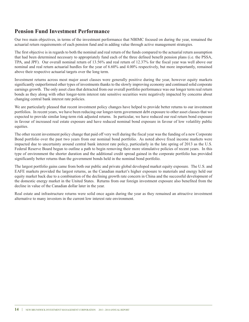### **Pension Fund Investment Performance**

Our two main objectives, in terms of the investment performance that NBIMC focused on during the year, remained the actuarial return requirements of each pension fund and in adding value through active management strategies.

The first objective is in regards to both the nominal and real return of the funds compared to the actuarial return assumption that had been determined necessary to appropriately fund each of the three defined benefit pension plans (i.e. the PSSA, TPA, and JPF). Our overall nominal return of 13.56% and real return of 12.37% for the fiscal year was well above our nominal and real return actuarial hurdles for the year of 6.60% and 4.00% respectively, but more importantly, remained above their respective actuarial targets over the long term.

Investment returns across most major asset classes were generally positive during the year, however equity markets significantly outperformed other types of investments thanks to the slowly improving economy and continued solid corporate earnings growth. The only asset class that detracted from our overall portfolio performance was our longer term real return bonds as they along with other longer-term interest rate sensitive securities were negatively impacted by concerns about changing central bank interest rate policies.

We are particularly pleased that recent investment policy changes have helped to provide better returns to our investment portfolios. In recent years, we have been reducing our longer-term government debt exposure to other asset classes that we expected to provide similar long-term risk adjusted returns. In particular, we have reduced our real return bond exposure in favour of increased real estate exposure and have reduced nominal bond exposure in favour of low volatility public equities.

The other recent investment policy change that paid off very well during the fiscal year was the funding of a new Corporate Bond portfolio over the past two years from our nominal bond portfolio. As noted above fixed income markets were impacted due to uncertainty around central bank interest rate policy, particularly in the late spring of 2013 as the U.S. Federal Reserve Board begun to outline a path to begin removing their more stimulative policies of recent years. In this type of environment the shorter duration and the additional credit spread gained in the corporate portfolio has provided significantly better returns than the government bonds held in the nominal bond portfolio.

The largest portfolio gains came from both our public and private global developed market equity exposure. The U.S. and EAFE markets provided the largest returns, as the Canadian market's higher exposure to materials and energy held our equity market back due to a combination of the declining growth rate concern in China and the successful development of the domestic energy market in the United States. Returns from our foreign investment exposure also benefited from the decline in value of the Canadian dollar later in the year.

Real estate and infrastructure returns were solid once again during the year as they remained an attractive investment alternative to many investors in the current low interest rate environment.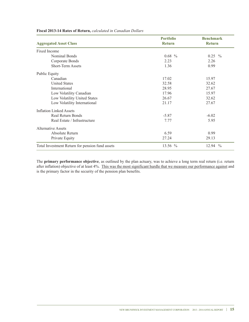|                                                 | <b>Portfolio</b> | <b>Benchmark</b>       |
|-------------------------------------------------|------------------|------------------------|
| <b>Aggregated Asset Class</b>                   | <b>Return</b>    | <b>Return</b>          |
| Fixed Income                                    |                  |                        |
| Nominal Bonds                                   | $0.68\,%$        | $0.25\%$               |
| Corporate Bonds                                 | 2.23             | 2.26                   |
| <b>Short-Term Assets</b>                        | 1.36             | 0.99                   |
| <b>Public Equity</b>                            |                  |                        |
| Canadian                                        | 17.02            | 15.97                  |
| <b>United States</b>                            | 32.58            | 32.62                  |
| International                                   | 28.95            | 27.67                  |
| Low Volatility Canadian                         | 17.96            | 15.97                  |
| Low Volatility United States                    | 26.67            | 32.62                  |
| Low Volatility International                    | 21.17            | 27.67                  |
| <b>Inflation Linked Assets</b>                  |                  |                        |
| <b>Real Return Bonds</b>                        | $-5.87$          | $-6.02$                |
| Real Estate / Infrastructure                    | 7.77             | 5.95                   |
| Alternative Assets                              |                  |                        |
| Absolute Return                                 | 6.59             | 0.99                   |
| Private Equity                                  | 27.24            | 29.13                  |
| Total Investment Return for pension fund assets | 13.56 %          | 12.94<br>$\frac{0}{0}$ |

**Fiscal 2013-14 Rates of Return,** *calculated in Canadian Dollars*

The **primary performance objective**, as outlined by the plan actuary, was to achieve a long term real return (i.e. return after inflation) objective of at least 4%. This was the most significant hurdle that we measure our performance against and is the primary factor in the security of the pension plan benefits.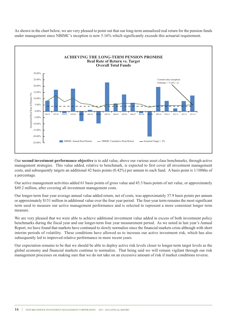As shown in the chart below, we are very pleased to point out that our long-term annualized real return for the pension funds under management since NBIMC's inception is now 5.16% which significantly exceeds this actuarial requirement.



Our **second investment performance objective** is to add value, above our various asset class benchmarks, through active management strategies. This value added, relative to benchmark, is expected to first cover all investment management costs, and subsequently targets an additional 42 basis points (0.42%) per annum to each fund. A basis point is 1/100ths of a percentage.

Our active management activities added 61 basis points of gross value and 45.3 basis points of net value, or approximately \$49.2 million, after covering all investment management costs.

Our longer-term four year average annual value added return, net of costs, was approximately 37.9 basis points per annum or approximately \$151 million in additional value over the four year period. The four-year term remains the most significant term used to measure our active management performance and is selected to represent a more consistent longer term measure.

We are very pleased that we were able to achieve additional investment value added in excess of both investment policy benchmarks during the fiscal year and our longer-term four year measurement period. As we noted in last year's Annual Report, we have found that markets have continued to slowly normalize since the financial markets crisis although with short interim periods of volatility. These conditions have allowed us to increase our active investment risk, which has also subsequently led to improved relative performance in more recent years.

Our expectation remains to be that we should be able to deploy active risk levels closer to longer-term target levels as the global economy and financial markets continue to normalize. That being said we will remain vigilant through our risk management processes on making sure that we do not take on an excessive amount of risk if market conditions reverse.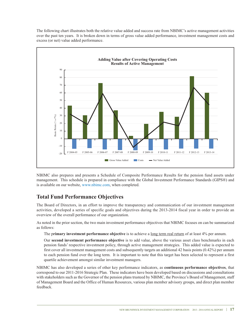The following chart illustrates both the relative value added and success rate from NBIMC's active management activities over the past ten years. It is broken down in terms of gross value added performance, investment management costs and excess (or net) value added performance.



NBIMC also prepares and presents a Schedule of Composite Performance Results for the pension fund assets under management. This schedule is prepared in compliance with the Global Investment Performance Standards (GIPS®) and is available on our website, www.nbimc.com, when completed.

## **Total Fund Performance Objectives**

The Board of Directors, in an effort to improve the transparency and communication of our investment management activities, developed a series of specific goals and objectives during the 2013-2014 fiscal year in order to provide an overview of the overall performance of our organization.

As noted in the prior section, the two main investment performance objectives that NBIMC focuses on can be summarized as follows:

The p**rimary investment performance objective** is to achieve a long term real return of at least 4% per annum.

Our **second investment performance objective** is to add value, above the various asset class benchmarks in each pension funds' respective investment policy, through active management strategies. This added value is expected to first cover all investment management costs and subsequently targets an additional 42 basis points (0.42%) per annum to each pension fund over the long term. It is important to note that this target has been selected to represent a first quartile achievement amongst similar investment managers.

NBIMC has also developed a series of other key performance indicators, as **continuous performance objectives**, that correspond to our 2011-2016 Strategic Plan. These indicators have been developed based on discussions and consultations with stakeholders such as the Governor of the pension plans trusteed by NBIMC, the Province's Board of Management, staff of Management Board and the Office of Human Resources, various plan member advisory groups, and direct plan member feedback.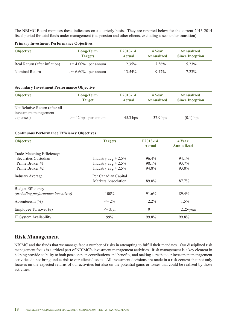The NBIMC Board monitors these indicators on a quarterly basis. They are reported below for the current 2013-2014 fiscal period for total funds under management (i.e. pension and other clients, excluding assets under transition):

| <b>Objective</b>              | <b>Long-Term</b><br><b>Targets</b> | F2013-14<br>Actual | 4 Year<br>Annualized | <b>Annualized</b><br><b>Since Inception</b> |
|-------------------------------|------------------------------------|--------------------|----------------------|---------------------------------------------|
| Real Return (after inflation) | $\geq 4.00\%$ per annum            | $12.35\%$          | 7.56%                | 5.23%                                       |
| Nominal Return                | $>= 6.60\%$ per annum              | $13.54\%$          | 9.47%                | 7.23%                                       |

#### **Primary Investment Performance Objectives**

#### **Secondary Investment Performance Objective**

| <b>Objective</b>                   | <b>Long-Term</b><br><b>Target</b> | F2013-14<br>Actual | 4 Year<br><b>Annualized</b> | <b>Annualized</b><br><b>Since Inception</b> |
|------------------------------------|-----------------------------------|--------------------|-----------------------------|---------------------------------------------|
| Net Relative Return (after all     |                                   |                    |                             |                                             |
| investment management<br>expenses) | $>= 42$ bps per annum             | $45.3$ bps         | $37.9$ bps                  | $(0.1)$ bps                                 |

#### **Continuous Performance Efficiency Objectives**

| <b>Objective</b>                   | <b>Targets</b>         | F2013-14<br><b>Actual</b> | 4 Year<br><b>Annualized</b> |  |
|------------------------------------|------------------------|---------------------------|-----------------------------|--|
| Trade-Matching Efficiency:         |                        |                           |                             |  |
| Securities Custodian               | Industry $avg + 2.5\%$ | $96.4\%$                  | 94.1%                       |  |
| Prime Broker #1                    | Industry $avg + 2.5\%$ | 98.1%                     | 93.7%                       |  |
| Prime Broker #2                    | Industry $avg + 2.5\%$ | 94.8%                     | 93.8%                       |  |
| <b>Industry Average</b>            | Per Canadian Capital   |                           |                             |  |
|                                    | Markets Association    | 89.0%                     | 87.7%                       |  |
| <b>Budget Efficiency</b>           |                        |                           |                             |  |
| (excluding performance incentives) | $100\%$                | 91.6%                     | 89.4%                       |  |
| Absenteeism $(\% )$                | $\leq$ 2%              | $2.2\%$                   | $1.5\%$                     |  |
| Employee Turnover (#)              | $\leq$ 3/yr            | $\theta$                  | $2.25$ /year                |  |
| IT System Availability             | 99%                    | 99.8%                     | 99.8%                       |  |

### **Risk Management**

NBIMC and the funds that we manage face a number of risks in attempting to fulfill their mandates. Our disciplined risk management focus is a critical part of NBIMC's investment management activities. Risk management is a key element in helping provide stability to both pension plan contributions and benefits, and making sure that our investment management activities do not bring undue risk to our clients' assets. All investment decisions are made in a risk context that not only focuses on the expected returns of our activities but also on the potential gains or losses that could be realized by those activities.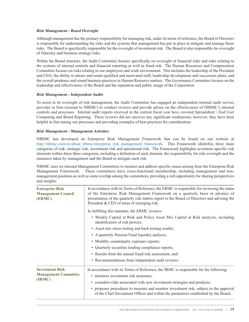### *Risk Management - Board Oversight*

Although management has the primary responsibility for managing risk, under its terms of reference, the Board of Directors is responsible for understanding the risks and the systems that management has put in place to mitigate and manage those risks. The Board is specifically responsible for the oversight of investment risk. The Board is also responsible for oversight of fiduciary and business strategy risks.

Within the Board structure, the Audit Committee focuses specifically on oversight of financial risks and risks relating to the systems of internal controls and financial reporting as well as fraud risk. The Human Resources and Compensation Committee focuses on risks relating to our employees and work environment. This includes the leadership of the President and CEO, the ability to attract and retain qualified and motivated staff, leadership development and succession plans, and the overall prudence and sound business practices in Human Resource matters. The Governance Committee focuses on the leadership and effectiveness of the Board and the reputation and public image of the Corporation.

#### *Risk Management - Independent Audits*

To assist in its oversight of risk management, the Audit Committee has engaged an independent internal audit service provider (a firm external to NBIMC) to conduct reviews and provide advice on the effectiveness of NBIMC's internal controls and processes. Internal audit reports received in the current fiscal year have covered Spreadsheet / End User Computing and Board Reporting. These reviews did not uncover any significant weaknesses; however, they have been helpful in fine-tuning our processes and providing examples of best practices for consideration.

#### *Risk Management - Management Activities*

NBIMC has developed an Enterprise Risk Management Framework that can be found on our website at http://nbimc.com/en/about\_nbimc/enterprise\_risk\_management\_framework. This Framework identifies three main categories of risk: strategic risk, investment risk and operational risk. The Framework highlights seventeen specific risk elements within these three categories, including a definition of each element, the responsibility for risk oversight and the measures taken by management and the Board to mitigate each risk.

NBIMC uses six internal Management Committees to monitor and address specific issues arising from the Enterprise Risk Management Framework. These committees have cross-functional membership, including management and nonmanagement positions as well as some overlap among the committees, providing a rich opportunity for sharing perspectives and insights:

| In accordance with its Terms of Reference, the ERMC is responsible for reviewing the status<br>of the Enterprise Risk Management Framework on a quarterly basis in advance of<br>presentation of the quarterly risk matrix report to the Board of Directors and advising the<br>President & CEO of areas of emerging risk.                                                                 |  |  |
|--------------------------------------------------------------------------------------------------------------------------------------------------------------------------------------------------------------------------------------------------------------------------------------------------------------------------------------------------------------------------------------------|--|--|
| In fulfilling this mandate, the ERMC reviews:                                                                                                                                                                                                                                                                                                                                              |  |  |
| • Weekly Capital at Risk and Policy Asset Mix Capital at Risk analyses, including<br>identification of risk proxies;                                                                                                                                                                                                                                                                       |  |  |
| • Asset mix stress testing and back-testing results;                                                                                                                                                                                                                                                                                                                                       |  |  |
| • A quarterly Pension Fund liquidity analysis;                                                                                                                                                                                                                                                                                                                                             |  |  |
| • Monthly counterparty exposure reports;                                                                                                                                                                                                                                                                                                                                                   |  |  |
| • Quarterly securities lending compliance reports;                                                                                                                                                                                                                                                                                                                                         |  |  |
| • Results from the annual fraud risk assessment; and                                                                                                                                                                                                                                                                                                                                       |  |  |
| • Recommendations from independent audit reviews.                                                                                                                                                                                                                                                                                                                                          |  |  |
| In accordance with its Terms of Reference, the IRMC is responsible for the following:<br>• monitors investment risk measures;<br>• considers risks associated with new investment strategies and products;<br>• proposes procedures to measure and monitor investment risk, subject to the approval<br>of the Chief Investment Officer and within the parameters established by the Board. |  |  |
|                                                                                                                                                                                                                                                                                                                                                                                            |  |  |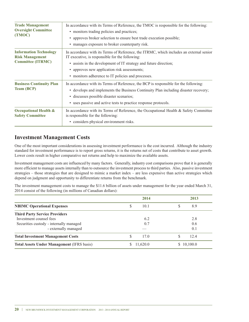| <b>Trade Management</b><br><b>Oversight Committee</b><br>(TMOC)                     | In accordance with its Terms of Reference, the TMOC is responsible for the following:<br>• monitors trading policies and practices;<br>• approves broker selection to ensure best trade execution possible;<br>• manages exposure to broker counterparty risk.                                                        |
|-------------------------------------------------------------------------------------|-----------------------------------------------------------------------------------------------------------------------------------------------------------------------------------------------------------------------------------------------------------------------------------------------------------------------|
| <b>Information Technology</b><br><b>Risk Management</b><br><b>Committee (ITRMC)</b> | In accordance with its Terms of Reference, the ITRMC, which includes an external senior<br>IT executive, is responsible for the following:<br>• assists in the development of IT strategy and future direction;<br>• approves new application risk assessments;<br>• monitors adherence to IT policies and processes. |
| <b>Business Continuity Plan</b><br><b>Team (BCP)</b>                                | In accordance with its Terms of Reference, the BCP is responsible for the following:<br>• develops and implements the Business Continuity Plan including disaster recovery;<br>· discusses possible disaster scenarios;<br>• uses passive and active tests to practice response protocols.                            |
| <b>Occupational Health &amp;</b><br><b>Safety Committee</b>                         | In accordance with its Terms of Reference, the Occupational Health & Safety Committee<br>is responsible for the following:<br>• considers physical environment risks.                                                                                                                                                 |

### **Investment Management Costs**

One of the most important considerations in assessing investment performance is the cost incurred. Although the industry standard for investment performance is to report gross returns, it is the returns net of costs that contribute to asset growth. Lower costs result in higher comparative net returns and help to maximize the available assets.

Investment management costs are influenced by many factors. Generally, industry cost comparisons prove that it is generally more efficient to manage assets internally than to outsource the investment process to third parties. Also, passive investment strategies – those strategies that are designed to mimic a market index – are less expensive than active strategies which depend on judgment and opportunity to differentiate returns from the benchmark.

The investment management costs to manage the \$11.6 billion of assets under management for the year ended March 31, 2014 consist of the following (in millions of Canadian dollars):

|                                                   | 2014      | 2013     |
|---------------------------------------------------|-----------|----------|
| <b>NBIMC Operational Expenses</b>                 | 10.1<br>S | S<br>8.9 |
| <b>Third Party Service Providers</b>              |           |          |
| Investment counsel fees                           | 6.2       | 2.8      |
| Securities custody - internally managed           | 0.7       | 0.6      |
| - externally managed                              |           | 0.1      |
| <b>Total Investment Management Costs</b>          | S<br>17.0 | 12.4     |
| <b>Total Assets Under Management (IFRS basis)</b> | 11,620.0  | 10,100.0 |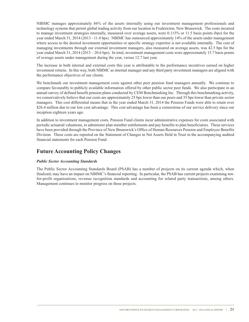NBIMC manages approximately 86% of the assets internally using our investment management professionals and technology systems that permit global trading activity from our location in Fredericton, New Brunswick. The costs incurred to manage investment strategies internally, measured over average assets, were 0.115% or 11.5 basis points (bps) for the year ended March 31, 2014 (2013 - 11.4 bps). NBIMC has outsourced approximately 14% of the assets under management where access to the desired investment opportunities or specific strategy expertise is not available internally. The cost of managing investments through our external investment managers, also measured on average assets, was 42.5 bps for the year ended March 31, 2014 (2013 – 20.6 bps). In total, investment management costs were approximately 15.7 basis points of average assets under management during the year, versus 12.7 last year.

The increase in both internal and external costs this year is attributable to the performance incentives earned on higher investment returns. In this way, both NBIMC as internal manager and any third party investment managers are aligned with the performance objectives of our clients.

We benchmark our investment management costs against other peer pension fund managers annually. We continue to compare favourably to publicly available information offered by other public sector peer funds. We also participate in an annual survey of defined benefit pension plans conducted by CEM Benchmarking Inc. Through this benchmarking activity, we conservatively believe that our costs are approximately 25 bps lower than our peers and 35 bps lower than private sector managers. This cost differential means that in the year ended March 31, 2014 the Pension Funds were able to retain over \$26.4 million due to our low cost advantage. This cost advantage has been a cornerstone of our service delivery since our inception eighteen years ago.

In addition to investment management costs, Pension Fund clients incur administrative expenses for costs associated with periodic actuarial valuations, to administer plan member entitlements and pay benefits to plan beneficiaries. These services have been provided through the Province of New Brunswick's Office of Human Resources Pension and Employee Benefits Division. These costs are reported on the Statement of Changes in Net Assets Held in Trust in the accompanying audited financial statements for each Pension Fund.

## **Future Accounting Policy Changes**

### *Public Sector Accounting Standards*

The Public Sector Accounting Standards Board (PSAB) has a number of projects on its current agenda which, when finalized, may have an impact on NBIMC's financial reporting. In particular, the PSAB has current projects examining notfor-profit organizations, revenue recognition standards and accounting for related party transactions, among others. Management continues to monitor progress on these projects.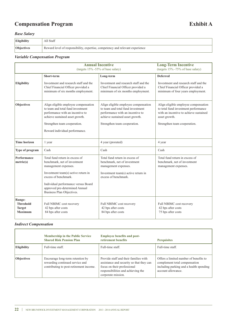# **Compensation Program Exhibit A**

### *Base Salary*

| <b>Eligibility</b> | All Staff                                                                           |
|--------------------|-------------------------------------------------------------------------------------|
| Objectives         | $\mu$ Reward level of responsibility, expertise, competency and relevant experience |

### *Variable Compensation Program*

| <b>Annual Incentive</b><br>(targets 15% -55% of base salary)  |                                                                                                                                                                                                                                                             | <b>Long-Term Incentive</b><br>(targets 15% -75% of base salary)                                                                                                                  |                                                                                                                                                                         |
|---------------------------------------------------------------|-------------------------------------------------------------------------------------------------------------------------------------------------------------------------------------------------------------------------------------------------------------|----------------------------------------------------------------------------------------------------------------------------------------------------------------------------------|-------------------------------------------------------------------------------------------------------------------------------------------------------------------------|
|                                                               | Short-term                                                                                                                                                                                                                                                  | Long-term                                                                                                                                                                        | <b>Deferred</b>                                                                                                                                                         |
| <b>Eligibility</b>                                            | Investment and research staff and the<br>Chief Financial Officer provided a<br>minimum of six months employment.                                                                                                                                            | Investment and research staff and the<br>Chief Financial Officer provided a<br>minimum of six months employment.                                                                 | Investment and research staff and the<br>Chief Financial Officer provided a<br>minimum of four years employment.                                                        |
| <b>Objectives</b>                                             | Align eligible employee compensation<br>to team and total fund investment<br>performance with an incentive to<br>achieve sustained asset growth.<br>Strengthen team cooperation.<br>Reward individual performance.                                          | Align eligible employee compensation<br>to team and total fund investment<br>performance with an incentive to<br>achieve sustained asset growth.<br>Strengthen team cooperation. | Align eligible employee compensation<br>to total fund investment performance<br>with an incentive to achieve sustained<br>asset growth.<br>Strengthen team cooperation. |
| <b>Time horizon</b>                                           | 1 year                                                                                                                                                                                                                                                      | 4 year (prorated)                                                                                                                                                                | 4 year                                                                                                                                                                  |
| Type of program                                               | Cash                                                                                                                                                                                                                                                        | Cash                                                                                                                                                                             | Cash                                                                                                                                                                    |
| Performance<br>metric(s)                                      | Total fund return in excess of<br>benchmark, net of investment<br>management expenses.<br>Investment team(s) active return in<br>excess of benchmark.<br>Individual performance versus Board<br>approved pre-determined Annual<br>Business Plan Objectives. | Total fund return in excess of<br>benchmark, net of investment<br>management expenses.<br>Investment team(s) active return in<br>excess of benchmark.                            | Total fund return in excess of<br>benchmark, net of investment<br>management expenses.                                                                                  |
| Range:<br><b>Threshold</b><br><b>Target</b><br><b>Maximum</b> | Full NBIMC cost recovery<br>42 bps after costs<br>84 bps after costs                                                                                                                                                                                        | Full NBIMC cost recovery<br>42 bps after costs<br>84 bps after costs                                                                                                             | Full NBIMC cost recovery<br>42 bps after costs<br>75 bps after costs                                                                                                    |

### *Indirect Compensation*

|                   | <b>Membership in the Public Service</b><br><b>Shared Risk Pension Plan</b>                                     | <b>Employee benefits and post-</b><br>retirement benefits                                                                                                                    | <b>Perquisites</b>                                                                                                                       |
|-------------------|----------------------------------------------------------------------------------------------------------------|------------------------------------------------------------------------------------------------------------------------------------------------------------------------------|------------------------------------------------------------------------------------------------------------------------------------------|
| Eligibility       | Full-time staff.                                                                                               | Full-time staff.                                                                                                                                                             | Full-time staff.                                                                                                                         |
| <b>Objectives</b> | Encourage long-term retention by<br>rewarding continued service and<br>contributing to post-retirement income. | Provide staff and their families with<br>assistance and security so that they can<br>focus on their professional<br>responsibilities and achieving the<br>corporate mission. | Offers a limited number of benefits to<br>complement total compensation<br>including parking and a health spending<br>account allowance. |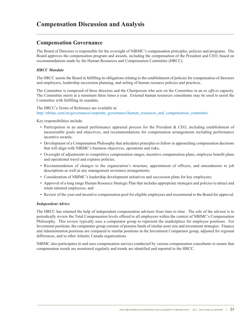# **Compensation Discussion and Analysis**

### **Compensation Governance**

The Board of Directors is responsible for the oversight of NBIMC's compensation principles, policies and programs. The Board approves the compensation program and awards, including the compensation of the President and CEO, based on recommendations made by the Human Resources and Compensation Committee (HRCC).

### *HRCC Mandate*

The HRCC assists the Board in fulfilling its obligations relating to the establishment of policies for compensation of directors and employees, leadership succession planning, and setting of human resource policies and practices.

The Committee is composed of three directors and the Chairperson who acts on the Committee in an ex *officio* capacity. The Committee meets at a minimum three times a year. External human resources consultants may be used to assist the Committee with fulfilling its mandate.

#### The HRCC's Terms of Reference are available at:

http://nbimc.com/en/governance/corporate\_governance/human\_resources\_and\_compensation\_committee .

Key responsibilities include:

- Participation in an annual performance appraisal process for the President & CEO, including establishment of measureable goals and objectives, and recommendations for compensation arrangements including performance incentive awards;
- Development of a Compensation Philosophy that articulates principles to follow in approaching compensation decisions that will align with NBIMC's business objectives, operations and risks;
- Oversight of adjustments to competitive compensation ranges, incentive compensation plans, employee benefit plans and operational travel and expense policies;
- Recommendation of changes to the organization's structure, appointment of officers, and amendments to job descriptions as well as any management severance arrangements;
- Consideration of NBIMC's leadership development initiatives and succession plans for key employees;
- Approval of a long range Human Resource Strategic Plan that includes appropriate strategies and policies to attract and retain talented employees; and
- Review of the year-end incentive compensation pool for eligible employees and recommend to the Board for approval.

#### *Independent Advice*

The HRCC has retained the help of independent compensation advisors from time to time. The role of the advisor is to periodically review the Total Compensation levels offered to all employees within the context of NBIMC's Compensation Philosophy. This review typically uses a comparator group to represent the marketplace for employee positions. For Investment positions, the comparator group consists of pension funds of similar asset size and investment strategies. Finance and Administration positions are compared to similar positions in the Investment Comparator group, adjusted for regional differences, and to other Atlantic Canada organizations.

NBIMC also participates in and uses compensation surveys conducted by various compensation consultants to ensure that compensation trends are monitored regularly and trends are identified and reported to the HRCC.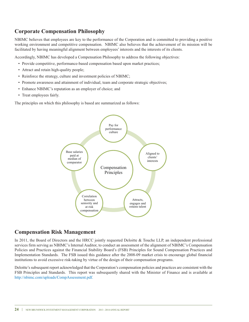# **Corporate Compensation Philosophy**

NBIMC believes that employees are key to the performance of the Corporation and is committed to providing a positive working environment and competitive compensation. NBIMC also believes that the achievement of its mission will be facilitated by having meaningful alignment between employees' interests and the interests of its clients.

Accordingly, NBIMC has developed a Compensation Philosophy to address the following objectives:

- Provide competitive, performance-based compensation based upon market practices;
- Attract and retain high-quality people;
- Reinforce the strategy, culture and investment policies of NBIMC;
- Promote awareness and attainment of individual, team and corporate strategic objectives;
- Enhance NBIMC's reputation as an employer of choice; and
- Treat employees fairly.

The principles on which this philosophy is based are summarized as follows:



### **Compensation Risk Management**

In 2011, the Board of Directors and the HRCC jointly requested Deloitte & Touche LLP, an independent professional services firm serving as NBIMC's Internal Auditor, to conduct an assessment of the alignment of NBIMC's Compensation Policies and Practices against the Financial Stability Board's (FSB) Principles for Sound Compensation Practices and Implementation Standards. The FSB issued this guidance after the 2008-09 market crisis to encourage global financial institutions to avoid excessive risk-taking by virtue of the design of their compensation programs.

Deloitte's subsequent report acknowledged that the Corporation's compensation policies and practices are consistent with the FSB Principles and Standards. This report was subsequently shared with the Minister of Finance and is available at http://nbimc.com/uploads/CompAssessment.pdf.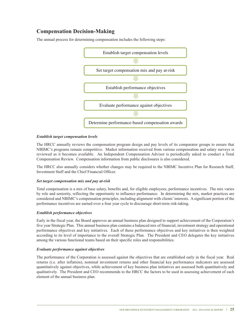# **Compensation Decision-Making**

The annual process for determining compensation includes the following steps:



#### *Establish target compensation levels*

The HRCC annually reviews the compensation program design and pay levels of its comparator groups to ensure that NBIMC's programs remain competitive. Market information received from various compensation and salary surveys is reviewed as it becomes available. An Independent Compensation Advisor is periodically asked to conduct a Total Compensation Review. Compensation information from public disclosures is also considered.

The HRCC also annually considers whether changes may be required to the NBIMC Incentive Plan for Research Staff, Investment Staff and the Chief Financial Officer.

#### *Set target compensation mix and pay at-risk*

Total compensation is a mix of base salary, benefits and, for eligible employees, performance incentives. The mix varies by role and seniority, reflecting the opportunity to influence performance. In determining the mix, market practices are considered and NBIMC's compensation principles, including alignment with clients'interests. A significant portion of the performance incentives are earned over a four year cycle to discourage short-term risk-taking.

### *Establish performance objectives*

Early in the fiscal year, the Board approves an annual business plan designed to support achievement of the Corporation's five year Strategic Plan. This annual business plan contains a balanced mix of financial, investment strategy and operational performance objectives and key initiatives. Each of these performance objectives and key initiatives is then weighted according to its level of importance to the overall Strategic Plan. The President and CEO delegates the key initiatives among the various functional teams based on their specific roles and responsibilities.

#### *Evaluate performance against objectives*

The performance of the Corporation is assessed against the objectives that are established early in the fiscal year. Real returns (i.e. after inflation), nominal investment returns and other financial key performance indicators are assessed quantitatively against objectives, while achievement of key business plan initiatives are assessed both quantitatively and qualitatively. The President and CEO recommends to the HRCC the factors to be used in assessing achievement of each element of the annual business plan.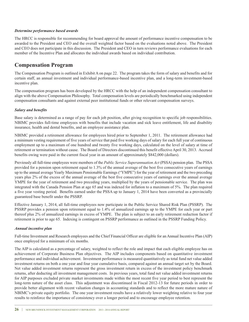### *Determine performance based awards*

The HRCC is responsible for recommending for board approval the amount of performance incentive compensation to be awarded to the President and CEO and the overall weighted factor based on the evaluations noted above. The President and CEO does not participate in this discussion. The President and CEO in turn reviews performance evaluations for each member of the Incentive Plan and allocates the individual awards based on individual contribution.

### **Compensation Program**

The Compensation Program is outlined in Exhibit A on page 22. The program takes the form of salary and benefits and for certain staff, an annual investment and individual performance-based incentive plan, and a long-term investment-based incentive plan.

The compensation program has been developed by the HRCC with the help of an independent compensation consultant to align with the above Compensation Philosophy. Total compensation levels are periodically benchmarked using independent compensation consultants and against external peer institutional funds or other relevant compensation surveys.

### *Salary and benefits*

Base salary is determined as a range of pay for each job position, after giving recognition to specific job responsibilities. NBIMC provides full-time employees with benefits that include vacation and sick leave entitlement, life and disability insurance, health and dental benefits, and an employee assistance plan.

NBIMC provided a retirement allowance for employees hired prior to September 1, 2011. The retirement allowance had a minimum vesting requirement of five years of service that paid five working days of salary for each full year of continuous employment up to a maximum of one hundred and twenty five working days, calculated on the level of salary at time of retirement or termination without cause. The Board of Directors discontinued this benefit effective April 30, 2013. Accrued benefits owing were paid in the current fiscal year in an amount of approximately \$842,000 (dollars).

Previously all full-time employees were members of the *Public Service Superannuation Act* (PSSA) pension plan. The PSSA provided for a pension upon retirement equal to 1.3% of the annual average of the best five consecutive years of earnings up to the annual average Yearly Maximum Pensionable Earnings ("YMPE") for the year of retirement and the two preceding years plus 2% of the excess of the annual average of the best five consecutive years of earnings over the annual average YMPE for the year of retirement and two preceding years, multiplied by the years of pensionable service. The plan was integrated with the Canada Pension Plan at age 65 and was indexed for inflation to a maximum of 5%. The plan required a five year vesting period. Benefits earned under the PSSA up to January 1, 2014 have been converted as a provincially guaranteed base benefit under the PSSRP.

Effective January 1, 2014, all full-time employees now participate in the Public Service Shared Risk Plan (PSSRP). The PSSRP provides a pension upon retirement equal to 1.4% of annualized earnings up to the YMPE for each year or part thereof plus 2% of annualized earnings in excess of YMPE. The plan is subject to an early retirement reduction factor if retirement is prior to age 65. Indexing is contingent on PSSRP performance as outlined in the PSSRP Funding Policy.

### *Annual incentive plan*

Full-time Investment and Research employees and the Chief Financial Officer are eligible for an Annual Incentive Plan (AIP) once employed for a minimum of six months.

The AIP is calculated as a percentage of salary, weighted to reflect the role and impact that each eligible employee has on achievement of Corporate Business Plan objectives. The AIP includes components based on quantitative investment performance and individual achievement. Investment performance is measured quantitatively as total fund net value added investment returns on both a one year and four year cumulative basis, compared against an annual target set by the Board. Net value added investment returns represent the gross investment return in excess of the investment policy benchmark returns, after deducting all investment management costs. In previous years, total fund net value added investment returns for AIP purposes excluded private market investments made within the most recent five year period to best represent the long-term nature of the asset class. This adjustment was discontinued in Fiscal 2012-13 for future periods in order to provide better alignment with recent valuation changes in accounting standards and to reflect the more mature nature of NBIMC's private equity portfolio. The one year investment results have a relatively lower weighting relative to four year results to reinforce the importance of consistency over a longer period and to encourage employee retention.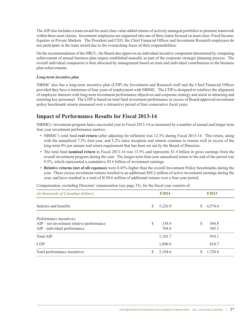The AIP also includes a team award for asset class value added returns of actively managed portfolios to promote teamwork within these asset classes. Investment employees are organized into one of three teams focused on asset class: Fixed Income, Equities or Private Markets. The President and CEO, the Chief Financial Officer and Investment Research employees do not participate in the team award due to the overarching focus of their responsibilities.

On the recommendation of the HRCC, the Board also approves an individual incentive component determined by comparing achievement of annual business plan targets established annually as part of the corporate strategic planning process. The overall individual component is then allocated by management based on team and individual contributions to the business plan achievements.

### *Long-term incentive plan*

NBIMC also has a long-term incentive plan (LTIP) for Investment and Research staff and the Chief Financial Officer provided they have a minimum of four years of employment with NBIMC. The LTIP is designed to reinforce the alignment of employee interests with long-term investment performance objectives and corporate strategy and assist in attracting and retaining key personnel. The LTIP is based on total fund investment performance in excess of Board-approved investment policy benchmark returns measured over a retroactive period of four consecutive fiscal years.

## **Impact of Performance Results for Fiscal 2013-14**

NBIMCs'investment program had a successful year in Fiscal 2013-14 as measured by a number of annual and longer term four year investment performance metrics:

- NBIMC's total fund **real return** (after adjusting for inflation) was 12.3% during Fiscal 2013-14. This return, along with the annualized 7.5% four-year, and 5.2% since inception real returns continue to remain well in excess of the long-term 4% per annum real return requirement that has been set out by the Board of Directors.
- The total fund **nominal return** in Fiscal 2013-14 was 13.5% and represents \$1.4 billion in gross earnings from the overall investment program during the year. The longer-term four-year annualized return to the end of the period was 9.5%, which represented a cumulative \$3.6 billion of investment earnings.
- **Relative returns (net of all expenses)** were 0.45% higher than the overall Investment Policy benchmarks during the year. These excess investment returns resulted in an additional \$49.2 million of active investment earnings during the year, and have resulted in a total of \$150.6 million of additional returns over a four-year period.

Compensation, excluding Directors' remuneration (see page 33), for the fiscal year consists of:

| (in thousands of Canadian dollars)                                                                     | F <sub>2014</sub>   | <b>F2013</b>        |
|--------------------------------------------------------------------------------------------------------|---------------------|---------------------|
| Salaries and benefits                                                                                  | 5,226.9<br>S        | 4,574.4<br>S        |
| Performance incentives:<br>$AIP$ – net investment relative performance<br>AIP - individual performance | S<br>338.9<br>764.8 | S<br>564.8<br>345.3 |
| <b>Total AIP</b>                                                                                       | 1,103.7             | 910.1               |
| <b>LTIP</b>                                                                                            | 1,090.9             | 818.7               |
| Total performance incentives                                                                           | 2,194.6<br>S        | 1,728.8             |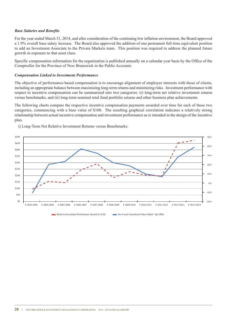#### *Base Salaries and Benefits*

For the year ended March 31, 2014, and after consideration of the continuing low inflation environment, the Board approved a 1.9% overall base salary increase. The Board also approved the addition of one permanent full-time equivalent position to add an Investment Associate to the Private Markets team. This position was required to address the planned future growth in exposure to that asset class.

Specific compensation information for the organization is published annually on a calendar year basis by the Office of the Comptroller for the Province of New Brunswick in the Public Accounts.

#### *Compensation Linked to Investment Performance*

The objective of performance-based compensation is to encourage alignment of employee interests with those of clients, including an appropriate balance between maximizing long-term returns and minimizing risks. Investment performance with respect to incentive compensation can be summarized into two categories: (i) long-term net relative investment returns versus benchmarks, and (ii) long-term nominal total fund portfolio returns and other business plan achievements.

The following charts compare the respective incentive compensation payments awarded over time for each of these two categories, commencing with a base value of \$100. The resulting graphical correlation indicates a relatively strong relationship between actual incentive compensation and investment performance as is intended in the design of the incentive plan.



i) Long-Term Net Relative Investment Returns versus Benchmarks:

Relative Investment Performance Incentives (LH) Net 4-year Annualized Value Added - bps (RH)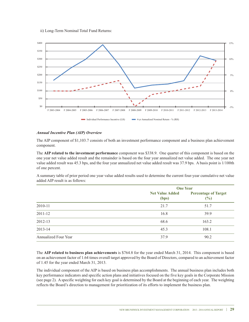



#### *Annual Incentive Plan (AIP) Overview*

The AIP component of \$1,103.7 consists of both an investment performance component and a business plan achievement component.

The **AIP related to the investment performance** component was \$338.9. One quarter of this component is based on the one year net value added result and the remainder is based on the four year annualized net value added. The one year net value added result was 45.3 bps, and the four year annualized net value added result was 37.9 bps. A basis point is 1/100th of one percent.

A summary table of prior period one year value added results used to determine the current four-year cumulative net value added AIP result is as follows:

|                             |                                 | <b>One Year</b>                    |  |  |  |
|-----------------------------|---------------------------------|------------------------------------|--|--|--|
|                             | <b>Net Value Added</b><br>(bps) | <b>Percentage of Target</b><br>(%) |  |  |  |
| 2010-11                     | 21.7                            | 51.7                               |  |  |  |
| 2011-12                     | 16.8                            | 39.9                               |  |  |  |
| 2012-13                     | 68.6                            | 163.2                              |  |  |  |
| 2013-14                     | 45.3                            | 108.1                              |  |  |  |
| <b>Annualized Four Year</b> | 37.9                            | 90.2                               |  |  |  |

The **AIP related to business plan achievements** is \$764.8 for the year ended March 31, 2014. This component is based on an achievement factor of 1.64 times overall target approved by the Board of Directors, compared to an achievement factor of 1.45 for the year ended March 31, 2013.

The individual component of the AIP is based on business plan accomplishments. The annual business plan includes both key performance indicators and specific action plans and initiatives focused on the five key goals in the Corporate Mission (see page 2). A specific weighting for each key goal is determined by the Board at the beginning of each year. The weighting reflects the Board's direction to management for prioritization of its efforts to implement the business plan.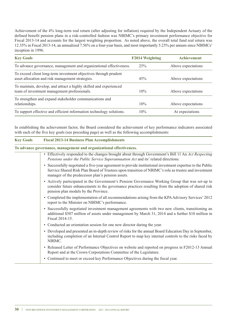Achievement of the 4% long-term real return (after adjusting for inflation) required by the Independent Actuary of the defined benefit pension plans in a risk-controlled fashion was NBIMC's primary investment performance objective for Fiscal 2013-14 and accounts for the largest weighting proportion. As noted above, the overall total fund real return was 12.35% in Fiscal 2013-14, an annualized 7.56% on a four-year basis, and most importantly 5.23% per annum since NBIMCs' inception in 1996.

| <b>Key Goals</b>                                                                                                     | F2014 Weighting | <b>Achievement</b> |
|----------------------------------------------------------------------------------------------------------------------|-----------------|--------------------|
| To advance governance, management and organizational effectiveness.                                                  | 25%             | Above expectations |
| To exceed client long-term investment objectives through prudent<br>asset allocation and risk management strategies. | 45%             | Above expectations |
| To maintain, develop, and attract a highly skilled and experienced<br>team of investment management professionals.   | 10%             | Above expectations |
| To strengthen and expand stakeholder communications and<br>relationships.                                            | 10%             | Above expectations |
| To support effective and efficient information technology solutions.                                                 | 10%             | At expectations    |

In establishing the achievement factor, the Board considered the achievement of key performance indicators associated with each of the five key goals (see preceding page) as well as the following accomplishments:

# **To advance governance, management and organizational effectiveness.**

**Key Goals Fiscal 2013-14 Business Plan Accomplishments**

- Effectively responded to the changes brought about through Government's Bill 11 An *Act Respecting Pensions under the Public Service Superannuation Act* and its' related directions.
- Successfully negotiated a five-year agreement to provide institutional investment expertise to the Public Service Shared Risk Plan Board of Trustees upon transition of NBIMC's role as trustee and investment manager of the predecessor plan's pension assets.
- Actively participated in the Government's Pension Governance Working Group that was set-up to consider future enhancements to the governance practices resulting from the adoption of shared risk pension plan models by the Province.
- Completed the implementation of all recommendations arising from the KPAAdvisory Services' 2012 report to the Minister on NBIMC's performance.
- Successfully negotiated investment management agreements with two new clients, transitioning an additional \$507 million of assets under management by March 31, 2014 and a further \$10 million in Fiscal 2014-15.
- Conducted an orientation session for one new director during the year.
- Developed and presented an in-depth review of risks for the annual Board Education Day in September, including completion of an Internal Control Report to map key internal controls to the risks faced by NBIMC.
- Released Letter of Performance Objectives on website and reported on progress in F2012-13 Annual Report and at the Crown Corporations Committee of the Legislature.
- Continued to meet or exceed key Performance Objectives during the fiscal year.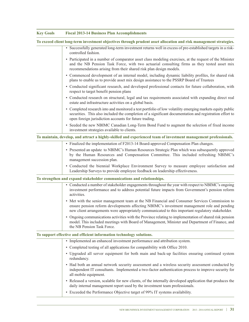| <b>Key Goals</b> | <b>Fiscal 2013-14 Business Plan Accomplishments</b>                                                                                                                                                                                                                                               |
|------------------|---------------------------------------------------------------------------------------------------------------------------------------------------------------------------------------------------------------------------------------------------------------------------------------------------|
|                  | To exceed client long-term investment objectives through prudent asset allocation and risk management strategies.                                                                                                                                                                                 |
|                  | • Successfully generated long-term investment returns well in excess of pre-established targets in a risk-<br>controlled fashion.                                                                                                                                                                 |
|                  | • Participated in a number of comparator asset class modeling exercises, at the request of the Minister<br>and the NB Pension Task Force, with two actuarial consulting firms as they tested asset mix<br>recommendations arising from their shared risk plan design models.                      |
|                  | • Commenced development of an internal model, including dynamic liability profiles, for shared risk<br>plans to enable us to provide asset mix design assistance to the PSSRP Board of Trustees                                                                                                   |
|                  | • Conducted significant research, and developed professional contacts for future collaboration, with<br>respect to target benefit pension plans                                                                                                                                                   |
|                  | • Conducted research on structural, legal and tax requirements associated with expanding direct real<br>estate and infrastructure activities on a global basis.                                                                                                                                   |
|                  | • Completed research into and monitored a test portfolio of low volatility emerging markets equity public<br>securities. This also included the completion of a significant documentation and registration effort to<br>open foreign jurisdiction accounts for future trading.                    |
|                  | • Seeded the new NBIMC Canadian Long-Term Bond Fund to augment the selection of fixed income<br>investment strategies available to clients.                                                                                                                                                       |
|                  | To maintain, develop, and attract a highly-skilled and experienced team of investment management professionals.                                                                                                                                                                                   |
|                  | • Finalized the implementation of F2013-14 Board-approved Compensation Plan changes.                                                                                                                                                                                                              |
|                  | • Presented an update to NBIMC's Human Resources Strategic Plan which was subsequently approved<br>by the Human Resources and Compensation Committee. This included refreshing NBIMC's<br>management succession plan.                                                                             |
|                  | · Conducted the biennial Workplace Environment Survey to measure employee satisfaction and<br>Leadership Surveys to provide employee feedback on leadership effectiveness.                                                                                                                        |
|                  | To strengthen and expand stakeholder communications and relationships.                                                                                                                                                                                                                            |
|                  | • Conducted a number of stakeholder engagements throughout the year with respect to NBIMC's ongoing<br>investment performance and to address potential future impacts from Government's pension reform<br>activities.                                                                             |
|                  | • Met with the senior management team at the NB Financial and Consumer Services Commission to<br>ensure pension reform developments affecting NBIMC's investment management role and pending<br>new client arrangements were appropriately communicated to this important regulatory stakeholder. |
|                  | • Ongoing communications activities with the Province relating to implementation of shared risk pension<br>model. This included meetings with Board of Management, Minister and Department of Finance, and<br>the NB Pension Task Force.                                                          |
|                  | To support effective and efficient information technology solutions.                                                                                                                                                                                                                              |
|                  | • Implemented an enhanced investment performance and attribution system.                                                                                                                                                                                                                          |
|                  | • Completed testing of all applications for compatibility with Office 2010.                                                                                                                                                                                                                       |
|                  | • Upgraded all server equipment for both main and back-up facilities ensuring continued system<br>redundancy.                                                                                                                                                                                     |
|                  | • Had both an annual network security assessment and a wireless security assessment conducted by<br>independent IT consultants. Implemented a two-factor authentication process to improve security for<br>all mobile equipment.                                                                  |
|                  | • Released a version, scalable for new clients, of the internally developed application that produces the<br>daily internal management report used by the investment team professionals.                                                                                                          |
|                  | • Exceeded the Performance Objective target of 99% IT systems availability.                                                                                                                                                                                                                       |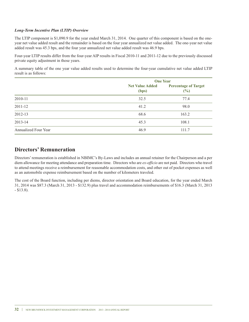### *Long-Term Incentive Plan (LTIP) Overview*

The LTIP component is \$1,090.9 for the year ended March 31, 2014. One quarter of this component is based on the oneyear net value added result and the remainder is based on the four year annualized net value added. The one-year net value added result was 45.3 bps, and the four year annualized net value added result was 46.9 bps.

Four-year LTIP results differ from the four-year AIP results in Fiscal 2010-11 and 2011-12 due to the previously discussed private equity adjustment in those years.

A summary table of the one year value added results used to determine the four-year cumulative net value added LTIP result is as follows:

|                             | <b>One Year</b>                 |                                            |  |
|-----------------------------|---------------------------------|--------------------------------------------|--|
|                             | <b>Net Value Added</b><br>(bps) | <b>Percentage of Target</b><br>(%)<br>77.4 |  |
| 2010-11                     | 32.5                            |                                            |  |
| 2011-12                     | 41.2                            | 98.0                                       |  |
| 2012-13                     | 68.6                            | 163.2                                      |  |
| 2013-14                     | 45.3                            | 108.1                                      |  |
| <b>Annualized Four Year</b> | 46.9                            | 111.7                                      |  |

### **Directors' Remuneration**

Directors'remuneration is established in NBIMC's By-Laws and includes an annual retainer for the Chairperson and a per diem allowance for meeting attendance and preparation time. Directors who are *ex-officio* are not paid. Directors who travel to attend meetings receive a reimbursement for reasonable accommodation costs, and other out of pocket expenses as well as an automobile expense reimbursement based on the number of kilometers traveled.

The cost of the Board function, including per diems, director orientation and Board education, for the year ended March 31, 2014 was \$87.3 (March 31, 2013 - \$132.9) plus travel and accommodation reimbursements of \$16.3 (March 31, 2013 - \$13.8).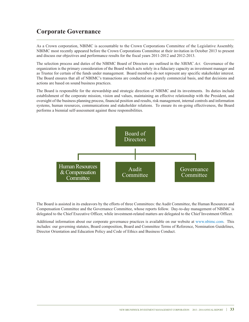# **Corporate Governance**

As a Crown corporation, NBIMC is accountable to the Crown Corporations Committee of the Legislative Assembly. NBIMC most recently appeared before the Crown Corporations Committee at their invitation in October 2013 to present and discuss our objectives and performance results for the fiscal years 2011-2012 and 2012-2013.

The selection process and duties of the NBIMC Board of Directors are outlined in the *NBIMC Act*. Governance of the organization is the primary consideration of the Board which acts solely in a fiduciary capacity as investment manager and as Trustee for certain of the funds under management. Board members do not represent any specific stakeholder interest. The Board ensures that all of NBIMC's transactions are conducted on a purely commercial basis, and that decisions and actions are based on sound business practices.

The Board is responsible for the stewardship and strategic direction of NBIMC and its investments. Its duties include establishment of the corporate mission, vision and values, maintaining an effective relationship with the President, and oversight of the business planning process, financial position and results, risk management, internal controls and information systems, human resources, communications and stakeholder relations. To ensure its on-going effectiveness, the Board performs a biennial self-assessment against these responsibilities.



The Board is assisted in its endeavors by the efforts of three Committees: the Audit Committee, the Human Resources and Compensation Committee and the Governance Committee, whose reports follow. Day-to-day management of NBIMC is delegated to the Chief Executive Officer, while investment-related matters are delegated to the Chief Investment Officer.

Additional information about our corporate governance practices is available on our website at www.nbimc.com. This includes: our governing statutes, Board composition, Board and Committee Terms of Reference, Nomination Guidelines, Director Orientation and Education Policy and Code of Ethics and Business Conduct.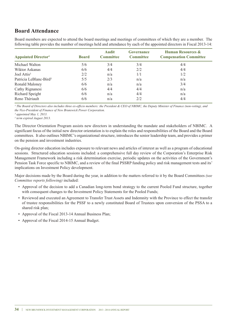### **Board Attendance**

Board members are expected to attend the board meetings and meetings of committees of which they are a member. The following table provides the number of meetings held and attendance by each of the appointed directors in Fiscal 2013-14:

| <b>Appointed Director</b> <sup>1</sup> | <b>Board</b> | <b>Audit</b><br><b>Committee</b> | Governance<br><b>Committee</b> | <b>Human Resources &amp;</b><br><b>Compensation Committee</b> |  |
|----------------------------------------|--------------|----------------------------------|--------------------------------|---------------------------------------------------------------|--|
| Michael Walton                         | 5/6          | 3/4                              | 3/4                            | 4/4                                                           |  |
| Wiktor Askanas                         | 6/6          | 4/4                              | 2/2                            | 4/4                                                           |  |
| Joel Attis <sup>3</sup>                | 2/2          | n/a                              | 1/1                            | 1/2                                                           |  |
| Patricia LeBlanc-Bird <sup>2</sup>     | 5/5          | 2/3                              | n/a                            | n/a                                                           |  |
| Ronald Maloney                         | 6/6          | n/a                              | n/a                            | 3/4                                                           |  |
| Cathy Rignanesi                        | 6/6          | 4/4                              | 4/4                            | n/a                                                           |  |
| Richard Speight                        | 6/6          | n/a                              | 4/4                            | n/a                                                           |  |
| Reno Thériault                         | 6/6          | n/a                              | 2/2                            | 4/4                                                           |  |

<sup>1</sup> The Board of Directors also includes three ex-officio members: the President & CEO of NBIMC, the Deputy Minister of Finance (non-voting), and *the Vice-President of Finance of New Brunswick Power Corporation.*

*² appointed May 1, 2013.*

*<sup>3</sup> term expired August 2013.*

The Director Orientation Program assists new directors in understanding the mandate and stakeholders of NBIMC. A significant focus of the initial new director orientation is to explain the roles and responsibilities of the Board and the Board committees. It also outlines NBIMC's organizational structure, introduces the senior leadership team, and provides a primer on the pension and investment industries.

On-going director education includes exposure to relevant news and articles of interest as well as a program of educational sessions. Structured education sessions included: a comprehensive full day review of the Corporation's Enterprise Risk Management Framework including a risk determination exercise, periodic updates on the activities of the Government's Pension Task Force specific to NBIMC, and a review of the final PSSRP funding policy and risk management tests and its' implications on Investment Policy development.

Major decisions made by the Board during the year, in addition to the matters referred to it by the Board Committees *(see Committee reports following)* included:

- Approval of the decision to add a Canadian long-term bond strategy to the current Pooled Fund structure, together with consequent changes to the Investment Policy Statements for the Pooled Funds;
- Reviewed and executed an Agreement to Transfer Trust Assets and Indemnity with the Province to effect the transfer of trustee responsibilities for the PSSF to a newly constituted Board of Trustees upon conversion of the PSSA to a shared risk plan;
- Approval of the Fiscal 2013-14 Annual Business Plan;
- Approval of the Fiscal 2014-15 Annual Budget.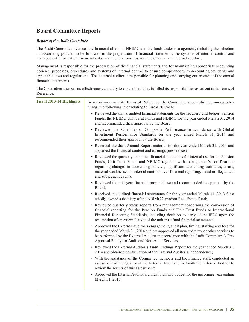# **Board Committee Reports**

### *Report of the Audit Committee*

The Audit Committee oversees the financial affairs of NBIMC and the funds under management, including the selection of accounting policies to be followed in the preparation of financial statements, the systems of internal control and management information, financial risks, and the relationships with the external and internal auditors.

Management is responsible for the preparation of the financial statements and for maintaining appropriate accounting policies, processes, procedures and systems of internal control to ensure compliance with accounting standards and applicable laws and regulations. The external auditor is responsible for planning and carrying out an audit of the annual financial statements.

The Committee assesses its effectiveness annually to ensure that it has fulfilled its responsibilities as set out in its Terms of Reference.

| <b>Fiscal 2013-14 Highlights</b> | In accordance with its Terms of Reference, the Committee accomplished, among other<br>things, the following in or relating to Fiscal 2013-14:                                                                                                                                                                                                                                        |
|----------------------------------|--------------------------------------------------------------------------------------------------------------------------------------------------------------------------------------------------------------------------------------------------------------------------------------------------------------------------------------------------------------------------------------|
|                                  | • Reviewed the annual audited financial statements for the Teachers' and Judges' Pension<br>Funds, the NBIMC Unit Trust Funds and NBIMC for the year ended March 31, 2014<br>and recommended their approval by the Board;                                                                                                                                                            |
|                                  | • Reviewed the Schedules of Composite Performance in accordance with Global<br>Investment Performance Standards for the year ended March 31, 2014 and<br>recommended their approval by the Board;                                                                                                                                                                                    |
|                                  | • Received the draft Annual Report material for the year ended March 31, 2014 and<br>approved the financial content and earnings press release;                                                                                                                                                                                                                                      |
|                                  | • Reviewed the quarterly unaudited financial statements for internal use for the Pension<br>Funds, Unit Trust Funds and NBIMC together with management's certifications<br>regarding changes in accounting policies, significant accounting estimates, errors,<br>material weaknesses in internal controls over financial reporting, fraud or illegal acts<br>and subsequent events; |
|                                  | • Reviewed the mid-year financial press release and recommended its approval by the<br>Board;                                                                                                                                                                                                                                                                                        |
|                                  | • Received the audited financial statements for the year ended March 31, 2013 for a<br>wholly-owned subsidiary of the NBIMC Canadian Real Estate Fund;                                                                                                                                                                                                                               |
|                                  | • Reviewed quarterly status reports from management concerning the conversion of<br>financial reporting for the Pension Funds and Unit Trust Funds to International<br>Financial Reporting Standards, including decision to early adopt IFRS upon the<br>resumption of an external audit of the unit trust fund financial statements;                                                |
|                                  | • Approved the External Auditor's engagement, audit plan, timing, staffing and fees for<br>the year ended March 31, 2014 and pre-approved all non-audit, tax or other services to<br>be performed by the External Auditor in accordance with the Audit Committee's Pre-<br>Approval Policy for Audit and Non-Audit Services;                                                         |
|                                  | • Reviewed the External Auditor's Audit Findings Report for the year ended March 31,<br>2014 and obtained confirmation of the External Auditor's independence;                                                                                                                                                                                                                       |
|                                  | • With the assistance of the Committee members and the Finance staff, conducted an<br>assessment of the Quality of the External Audit and met with the External Auditor to<br>review the results of this assessment;                                                                                                                                                                 |
|                                  | • Approved the Internal Auditor's annual plan and budget for the upcoming year ending<br>March 31, 2015;                                                                                                                                                                                                                                                                             |
|                                  |                                                                                                                                                                                                                                                                                                                                                                                      |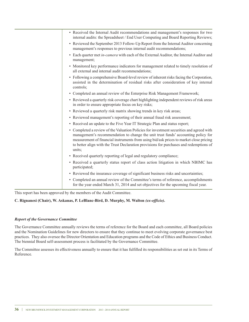| • Received the Internal Audit recommendations and management's responses for two<br>internal audits: the Spreadsheet / End User Computing and Board Reporting Reviews;                                                                                                                                                                                                      |
|-----------------------------------------------------------------------------------------------------------------------------------------------------------------------------------------------------------------------------------------------------------------------------------------------------------------------------------------------------------------------------|
| • Reviewed the September 2013 Follow-Up Report from the Internal Auditor concerning<br>management's responses to previous internal audit recommendations;                                                                                                                                                                                                                   |
| • Each quarter met in-camera with each of the External Auditor, the Internal Auditor and<br>management;                                                                                                                                                                                                                                                                     |
| • Monitored key performance indicators for management related to timely resolution of<br>all external and internal audit recommendations;                                                                                                                                                                                                                                   |
| • Following a comprehensive Board-level review of inherent risks facing the Corporation,<br>assisted in the determination of residual risks after consideration of key internal<br>controls;                                                                                                                                                                                |
| • Completed an annual review of the Enterprise Risk Management Framework;                                                                                                                                                                                                                                                                                                   |
| • Reviewed a quarterly risk coverage chart highlighting independent reviews of risk areas<br>in order to ensure appropriate focus on key risks;                                                                                                                                                                                                                             |
| • Reviewed a quarterly risk matrix showing trends in key risk areas;                                                                                                                                                                                                                                                                                                        |
| • Reviewed management's reporting of their annual fraud risk assessment;                                                                                                                                                                                                                                                                                                    |
| • Received an update to the Five Year IT Strategic Plan and status report;                                                                                                                                                                                                                                                                                                  |
| • Completed a review of the Valuation Policies for investment securities and agreed with<br>management's recommendation to change the unit trust funds' accounting policy for<br>measurement of financial instruments from using bid/ask prices to market close pricing<br>to better align with the Trust Declaration provisions for purchases and redemptions of<br>units: |
| • Received quarterly reporting of legal and regulatory compliance;                                                                                                                                                                                                                                                                                                          |
| • Received a quarterly status report of class action litigation in which NBIMC has<br>participated;                                                                                                                                                                                                                                                                         |
| • Reviewed the insurance coverage of significant business risks and uncertainties;                                                                                                                                                                                                                                                                                          |
| • Completed an annual review of the Committee's terms of reference, accomplishments<br>for the year ended March 31, 2014 and set objectives for the upcoming fiscal year.                                                                                                                                                                                                   |
|                                                                                                                                                                                                                                                                                                                                                                             |

This report has been approved by the members of the Audit Committee.

### **C. Rignanesi (Chair), W. Askanas, P. LeBlanc-Bird, D. Murphy, M. Walton** *(ex-officio)***.**

### *Report of the Governance Committee*

The Governance Committee annually reviews the terms of reference for the Board and each committee, all Board policies and the Nomination Guidelines for new directors to ensure that they continue to meet evolving corporate governance best practices. They also oversee the Director Orientation and Education programs and the Code of Ethics and Business Conduct. The biennial Board self-assessment process is facilitated by the Governance Committee.

The Committee assesses its effectiveness annually to ensure that it has fulfilled its responsibilities as set out in its Terms of Reference.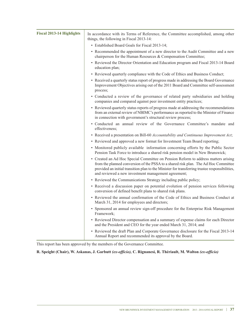| <b>Fiscal 2013-14 Highlights</b> | In accordance with its Terms of Reference, the Committee accomplished, among other<br>things, the following in Fiscal 2013-14:                                                                                                                                                                                                     |
|----------------------------------|------------------------------------------------------------------------------------------------------------------------------------------------------------------------------------------------------------------------------------------------------------------------------------------------------------------------------------|
|                                  | • Established Board Goals for Fiscal 2013-14;                                                                                                                                                                                                                                                                                      |
|                                  | • Recommended the appointment of a new director to the Audit Committee and a new<br>chairperson for the Human Resources & Compensation Committee;                                                                                                                                                                                  |
|                                  | • Reviewed the Director Orientation and Education program and Fiscal 2013-14 Board<br>education plan;                                                                                                                                                                                                                              |
|                                  | • Reviewed quarterly compliance with the Code of Ethics and Business Conduct;                                                                                                                                                                                                                                                      |
|                                  | • Received a quarterly status report of progress made in addressing the Board Governance<br>Improvement Objectives arising out of the 2011 Board and Committee self-assessment<br>process;                                                                                                                                         |
|                                  | • Conducted a review of the governance of related party subsidiaries and holding<br>companies and compared against peer investment entity practices;                                                                                                                                                                               |
|                                  | • Reviewed quarterly status reports of progress made at addressing the recommendations<br>from an external review of NBIMC's performance as reported to the Minister of Finance<br>in connection with government's structural review process;                                                                                      |
|                                  | • Conducted an annual review of the Governance Committee's mandate and<br>effectiveness:                                                                                                                                                                                                                                           |
|                                  | • Received a presentation on Bill-60 Accountability and Continuous Improvement Act;                                                                                                                                                                                                                                                |
|                                  | • Reviewed and approved a new format for Investment Team Board reporting;                                                                                                                                                                                                                                                          |
|                                  | • Monitored publicly available information concerning efforts by the Public Sector<br>Pension Task Force to introduce a shared risk pension model in New Brunswick;                                                                                                                                                                |
|                                  | • Created an Ad Hoc Special Committee on Pension Reform to address matters arising<br>from the planned conversion of the PSSA to a shared risk plan. The Ad Hoc Committee<br>provided an initial transition plan to the Minister for transferring trustee responsibilities,<br>and reviewed a new investment management agreement; |
|                                  | • Reviewed the Communications Strategy including public policy;                                                                                                                                                                                                                                                                    |
|                                  | • Received a discussion paper on potential evolution of pension services following<br>conversion of defined benefit plans to shared risk plans.                                                                                                                                                                                    |
|                                  | • Reviewed the annual confirmation of the Code of Ethics and Business Conduct at<br>March 31, 2014 for employees and directors;                                                                                                                                                                                                    |
|                                  | • Sponsored an annual review sign-off procedure for the Enterprise Risk Management<br>Framework;                                                                                                                                                                                                                                   |
|                                  | • Reviewed Director compensation and a summary of expense claims for each Director<br>and the President and CEO for the year ended March 31, 2014; and                                                                                                                                                                             |
|                                  | • Reviewed the draft Plan and Corporate Governance disclosure for the Fiscal 2013-14<br>Annual Report and recommended its approval by the Board.                                                                                                                                                                                   |

This report has been approved by the members of the Governance Committee.

**R. Speight (Chair), W. Askanas, J. Garbutt** *(ex-officio),* **C. Rignanesi, R. Thériault, M. Walton** *(ex-officio)*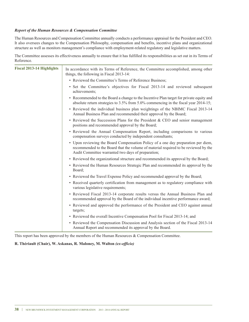### *Report of the Human Resources & Compensation Committee*

The Human Resources and Compensation Committee annually conducts a performance appraisal for the President and CEO. It also oversees changes to the Compensation Philosophy, compensation and benefits, incentive plans and organizational structure as well as monitors management's compliance with employment-related regulatory and legislative matters.

The Committee assesses its effectiveness annually to ensure that it has fulfilled its responsibilities as set out in its Terms of Reference.

| <b>Fiscal 2013-14 Highlights</b> | In accordance with its Terms of Reference, the Committee accomplished, among other<br>things, the following in Fiscal 2013-14:                                                                                                 |  |  |  |  |
|----------------------------------|--------------------------------------------------------------------------------------------------------------------------------------------------------------------------------------------------------------------------------|--|--|--|--|
|                                  | • Reviewed the Committee's Terms of Reference Business;                                                                                                                                                                        |  |  |  |  |
|                                  | • Set the Committee's objectives for Fiscal 2013-14 and reviewed subsequent<br>achievements;                                                                                                                                   |  |  |  |  |
|                                  | • Recommended to the Board a change to the Incentive Plan target for private equity and<br>absolute return strategies to $3.5\%$ from $5.0\%$ commencing in the fiscal year 2014-15;                                           |  |  |  |  |
|                                  | • Reviewed the individual business plan weightings of the NBIMC Fiscal 2013-14<br>Annual Business Plan and recommended their approval by the Board;                                                                            |  |  |  |  |
|                                  | • Reviewed the Succession Plans for the President & CEO and senior management<br>positions and recommended approval by the Board;                                                                                              |  |  |  |  |
|                                  | • Reviewed the Annual Compensation Report, including comparisons to various<br>compensation surveys conducted by independent consultants;                                                                                      |  |  |  |  |
|                                  | • Upon reviewing the Board Compensation Policy of a one day preparation per diem,<br>recommended to the Board that the volume of material required to be reviewed by the<br>Audit Committee warranted two days of preparation; |  |  |  |  |
|                                  | • Reviewed the organizational structure and recommended its approval by the Board;                                                                                                                                             |  |  |  |  |
|                                  | • Reviewed the Human Resources Strategic Plan and recommended its approval by the<br>Board;                                                                                                                                    |  |  |  |  |
|                                  | • Reviewed the Travel Expense Policy and recommended approval by the Board;                                                                                                                                                    |  |  |  |  |
|                                  | • Received quarterly certification from management as to regulatory compliance with<br>various legislative requirements;                                                                                                       |  |  |  |  |
|                                  | • Reviewed Fiscal 2013-14 corporate results versus the Annual Business Plan and<br>recommended approval by the Board of the individual incentive performance award;                                                            |  |  |  |  |
|                                  | • Reviewed and approved the performance of the President and CEO against annual<br>targets;                                                                                                                                    |  |  |  |  |
|                                  | • Reviewed the overall Incentive Compensation Pool for Fiscal 2013-14; and                                                                                                                                                     |  |  |  |  |
|                                  | • Reviewed the Compensation Discussion and Analysis section of the Fiscal 2013-14<br>Annual Report and recommended its approval by the Board.                                                                                  |  |  |  |  |

This report has been approved by the members of the Human Resources  $&$  Compensation Committee.

### **R. Thériault (Chair), W. Askanas, R. Maloney, M. Walton** *(ex-officio)*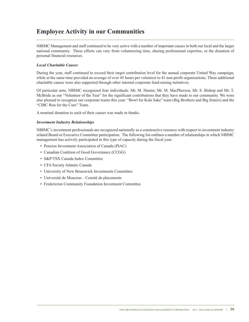# **Employee Activity in our Communities**

NBIMC Management and staff continued to be very active with a number of important causes in both our local and the larger national community. These efforts can vary from volunteering time, sharing professional expertise, or the donation of personal financial resources.

### *Local Charitable Causes*

During the year, staff continued to exceed their target contribution level for the annual corporate United Way campaign, while at the same time provided an average of over 45 hours per volunteer to 41 non-profit organizations. Three additional charitable causes were also supported through other internal corporate fund-raising initiatives.

Of particular note, NBIMC recognized four individuals: Mr. M. Hunter, Mr. M. MacPherson, Mr. S. Bishop and Mr. T. McBride as our "Volunteer of the Year" for the significant contributions that they have made to our community. We were also pleased to recognize our corporate teams this year: "Bowl for Kids Sake" team (Big Brothers and Big Sisters) and the "CIBC Run for the Cure" Team.

A nominal donation to each of their causes was made in thanks.

### *Investment Industry Relationships*

NBIMC's investment professionals are recognized nationally as a constructive resource with respect to investment industry related Board or Executive Committee participation. The following list outlines a number of relationships in which NBIMC management has actively participated in this type of capacity during the fiscal year:

- Pension Investment Association of Canada (PIAC)
- Canadian Coalition of Good Governance (CCGG)
- S&P/TSX Canada Index Committee
- CFA Society Atlantic Canada
- University of New Brunswick Investments Committee
- Université de Moncton Comité de placements
- Fredericton Community Foundation Investment Committee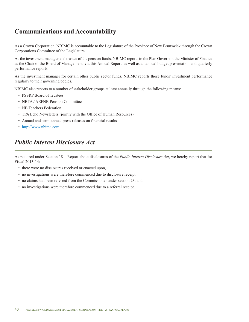# **Communications and Accountability**

As a Crown Corporation, NBIMC is accountable to the Legislature of the Province of New Brunswick through the Crown Corporations Committee of the Legislature.

As the investment manager and trustee of the pension funds, NBIMC reports to the Plan Governor, the Minister of Finance as the Chair of the Board of Management, via this Annual Report, as well as an annual budget presentation and quarterly performance reports.

As the investment manager for certain other public sector funds, NBIMC reports those funds' investment performance regularly to their governing bodies.

NBIMC also reports to a number of stakeholder groups at least annually through the following means:

- PSSRP Board of Trustees
- NBTA / AEFNB Pension Committee
- NB Teachers Federation
- TPA Echo Newsletters (jointly with the Office of Human Resources)
- Annual and semi-annual press releases on financial results
- http://www.nbimc.com

# *Public Interest Disclosure Act*

As required under Section 18 – Report about disclosures of the *Public Interest Disclosure Act*, we hereby report that for Fiscal 2013-14:

- there were no disclosures received or enacted upon,
- no investigations were therefore commenced due to disclosure receipt,
- no claims had been referred from the Commissioner under section 23, and
- no investigations were therefore commenced due to a referral receipt.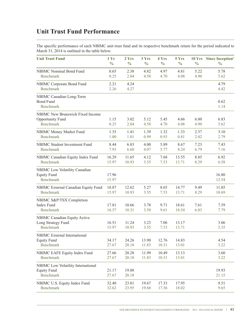# **Unit Trust Fund Performance**

The specific performance of each NBIMC unit trust fund and its respective benchmark return for the period indicated to March 31, 2014 is outlined in the table below.

| <b>Unit Trust Fund</b>                                                          | 1 Yr           | 2 Yrs          | 3 Yrs          | 4 Yrs          | 5 Yrs          | <b>10 Yrs</b> | Since Inception <sup>1</sup> |
|---------------------------------------------------------------------------------|----------------|----------------|----------------|----------------|----------------|---------------|------------------------------|
|                                                                                 | $\frac{0}{0}$  | $\frac{0}{0}$  | $\frac{0}{0}$  | $\frac{0}{0}$  | $\frac{0}{0}$  | $\frac{0}{0}$ | $\frac{0}{0}$                |
| <b>NBIMC</b> Nominal Bond Fund                                                  | 0.65           | 2.38           | 4.82           | 4.97           | 4.81           | 5.22          | 5.78                         |
| <b>Benchmark</b>                                                                | 0.25           | 2.04           | 4.58           | 4.70           | 4.08           | 4.90          | 5.62                         |
| NBIMC Corporate Bond Fund<br><b>Benchmark</b>                                   | 2.21<br>2.26   | 4.24<br>4.27   |                |                |                |               | 4.79<br>4.42                 |
| NBIMC Canadian Long-Term<br><b>Bond Fund</b><br><b>Benchmark</b>                |                |                |                |                |                |               | 0.62<br>1.14                 |
| <b>NBIMC New Brunswick Fixed Income</b><br>Opportunity Fund<br><b>Benchmark</b> | 1.15<br>0.25   | 3.02<br>2.04   | 5.12<br>4.58   | 5.45<br>4.70   | 4.66<br>4.08   | 6.00<br>4.90  | 6.83<br>5.62                 |
| NBIMC Money Market Fund                                                         | 1.35           | 1.41           | 1.39           | 1.32           | 1.33           | 2.37          | 3.10                         |
| <b>Benchmark</b>                                                                | 1.00           | 1.01           | 0.99           | 0.93           | 0.81           | 2.02          | 2.79                         |
| NBIMC Student Investment Fund                                                   | 8.44           | 6.83           | 4.00           | 5.89           | 8.67           | 7.23          | 7.43                         |
| <b>Benchmark</b>                                                                | 7.93           | 6.60           | 4.07           | 5.77           | 8.24           | 6.79          | 7.16                         |
| NBIMC Canadian Equity Index Fund                                                | 16.29          | 11.65          | 4.12           | 7.68           | 13.55          | 8.85          | 6.92                         |
| <b>Benchmark</b>                                                                | 15.97          | 10.93          | 3.55           | 7.53           | 13.71          | 8.29          | 6.58                         |
| NBIMC Low Volatility Canadian<br><b>Equity Fund</b><br><b>Benchmark</b>         | 17.96<br>15.97 |                |                |                |                |               | 16.80<br>12.54               |
| NBIMC External Canadian Equity Fund                                             | 18.87          | 12.62          | 5.27           | 8.65           | 14.77          | 9.49          | 11.85                        |
| <b>Benchmark</b>                                                                | 15.97          | 10.93          | 3.55           | 7.53           | 13.71          | 8.29          | 10.69                        |
| NBIMC S&P/TSX Completion<br>Index Fund<br><b>Benchmark</b>                      | 17.81<br>16.57 | 10.66<br>10.31 | 3.78<br>3.58   | 9.71<br>9.61   | 18.61<br>18.54 | 7.61<br>6.83  | 7.59<br>7.79                 |
| NBIMC Canadian Equity Active<br>Long Strategy Fund<br><b>Benchmark</b>          | 16.51<br>15.97 | 11.24<br>10.93 | 3.23<br>3.55   | 7.06<br>7.53   | 13.17<br>13.71 |               | 3.06<br>3.35                 |
| <b>NBIMC</b> External International<br><b>Equity Fund</b><br><b>Benchmark</b>   | 34.17<br>27.67 | 24.26<br>20.18 | 13.90<br>11.83 | 12.76<br>10.31 | 14.83<br>13.01 |               | 4.54<br>3.22                 |
| NBIMC EAFE Equity Index Fund                                                    | 27.66          | 20.28          | 11.99          | 10.49          | 13.13          |               | 3.60                         |
| <b>Benchmark</b>                                                                | 27.67          | 20.18          | 11.83          | 10.31          | 13.01          |               | 3.22                         |
| NBIMC Low Volatility International<br><b>Equity Fund</b><br><b>Benchmark</b>    | 21.17<br>27.67 | 19.88<br>20.18 |                |                |                |               | 19.93<br>21.15               |
| NBIMC U.S. Equity Index Fund                                                    | 32.40          | 23.81          | 19.67          | 17.33          | 17.95          |               | 9.51                         |
| <b>Benchmark</b>                                                                | 32.62          | 23.95          | 19.68          | 17.36          | 18.02          |               | 9.65                         |